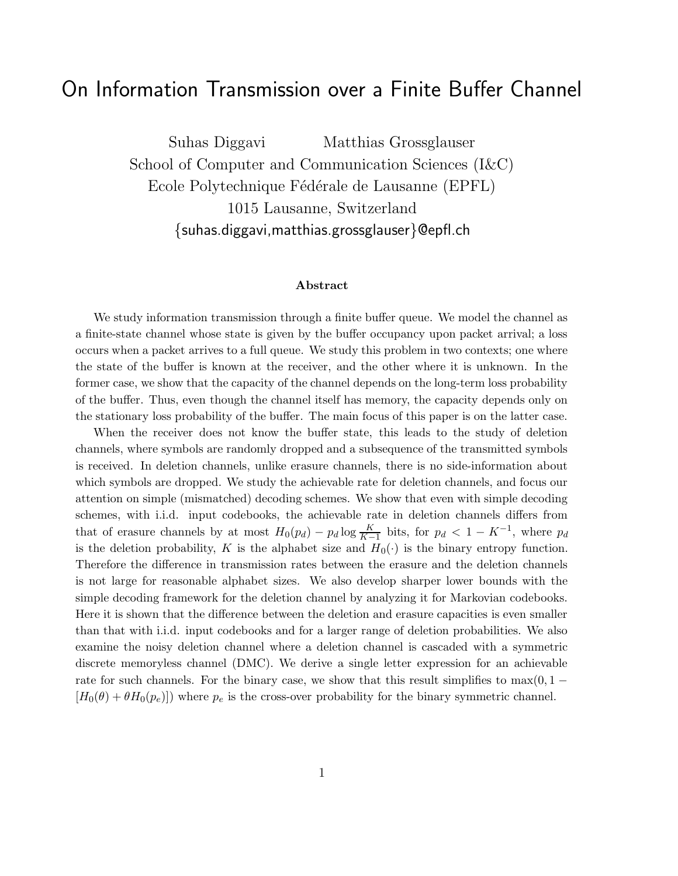# On Information Transmission over a Finite Buffer Channel

Suhas Diggavi Matthias Grossglauser School of Computer and Communication Sciences (I&C) Ecole Polytechnique Fédérale de Lausanne (EPFL) 1015 Lausanne, Switzerland {suhas.diggavi,matthias.grossglauser}@epfl.ch

#### Abstract

We study information transmission through a finite buffer queue. We model the channel as a finite-state channel whose state is given by the buffer occupancy upon packet arrival; a loss occurs when a packet arrives to a full queue. We study this problem in two contexts; one where the state of the buffer is known at the receiver, and the other where it is unknown. In the former case, we show that the capacity of the channel depends on the long-term loss probability of the buffer. Thus, even though the channel itself has memory, the capacity depends only on the stationary loss probability of the buffer. The main focus of this paper is on the latter case.

When the receiver does not know the buffer state, this leads to the study of deletion channels, where symbols are randomly dropped and a subsequence of the transmitted symbols is received. In deletion channels, unlike erasure channels, there is no side-information about which symbols are dropped. We study the achievable rate for deletion channels, and focus our attention on simple (mismatched) decoding schemes. We show that even with simple decoding schemes, with i.i.d. input codebooks, the achievable rate in deletion channels differs from that of erasure channels by at most  $H_0(p_d) - p_d \log \frac{K}{K-1}$  bits, for  $p_d < 1 - K^{-1}$ , where  $p_d$ is the deletion probability, K is the alphabet size and  $H_0(\cdot)$  is the binary entropy function. Therefore the difference in transmission rates between the erasure and the deletion channels is not large for reasonable alphabet sizes. We also develop sharper lower bounds with the simple decoding framework for the deletion channel by analyzing it for Markovian codebooks. Here it is shown that the difference between the deletion and erasure capacities is even smaller than that with i.i.d. input codebooks and for a larger range of deletion probabilities. We also examine the noisy deletion channel where a deletion channel is cascaded with a symmetric discrete memoryless channel (DMC). We derive a single letter expression for an achievable rate for such channels. For the binary case, we show that this result simplifies to max $(0, 1 [H_0(\theta) + \theta H_0(p_e)]$ ) where  $p_e$  is the cross-over probability for the binary symmetric channel.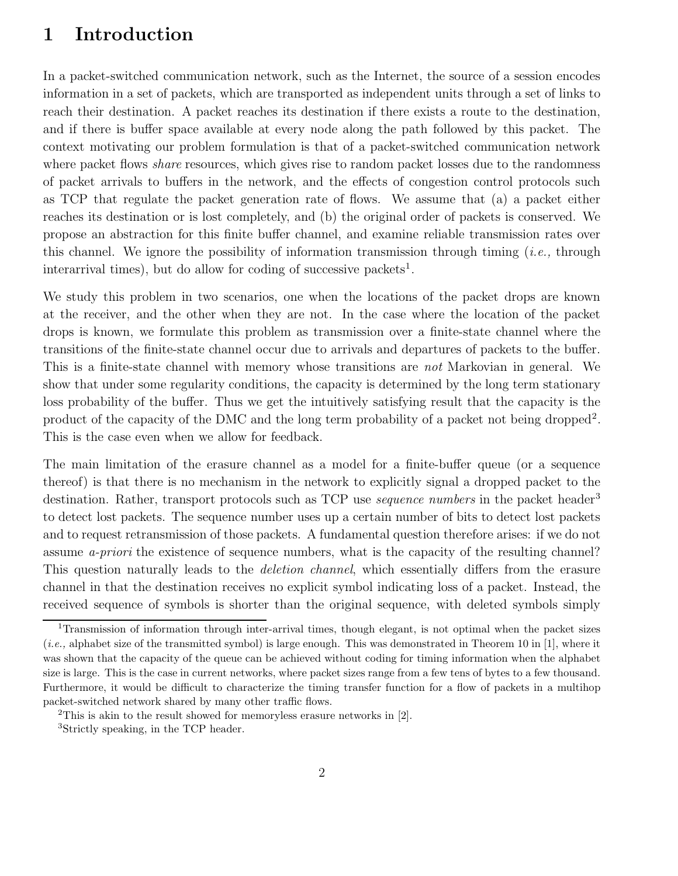# 1 Introduction

In a packet-switched communication network, such as the Internet, the source of a session encodes information in a set of packets, which are transported as independent units through a set of links to reach their destination. A packet reaches its destination if there exists a route to the destination, and if there is buffer space available at every node along the path followed by this packet. The context motivating our problem formulation is that of a packet-switched communication network where packet flows *share* resources, which gives rise to random packet losses due to the randomness of packet arrivals to buffers in the network, and the effects of congestion control protocols such as TCP that regulate the packet generation rate of flows. We assume that (a) a packet either reaches its destination or is lost completely, and (b) the original order of packets is conserved. We propose an abstraction for this finite buffer channel, and examine reliable transmission rates over this channel. We ignore the possibility of information transmission through timing  $(i.e.,$  through interarrival times), but do allow for coding of successive packets<sup>1</sup>.

We study this problem in two scenarios, one when the locations of the packet drops are known at the receiver, and the other when they are not. In the case where the location of the packet drops is known, we formulate this problem as transmission over a finite-state channel where the transitions of the finite-state channel occur due to arrivals and departures of packets to the buffer. This is a finite-state channel with memory whose transitions are not Markovian in general. We show that under some regularity conditions, the capacity is determined by the long term stationary loss probability of the buffer. Thus we get the intuitively satisfying result that the capacity is the product of the capacity of the DMC and the long term probability of a packet not being dropped<sup>2</sup>. This is the case even when we allow for feedback.

The main limitation of the erasure channel as a model for a finite-buffer queue (or a sequence thereof) is that there is no mechanism in the network to explicitly signal a dropped packet to the destination. Rather, transport protocols such as TCP use *sequence numbers* in the packet header<sup>3</sup> to detect lost packets. The sequence number uses up a certain number of bits to detect lost packets and to request retransmission of those packets. A fundamental question therefore arises: if we do not assume *a-priori* the existence of sequence numbers, what is the capacity of the resulting channel? This question naturally leads to the *deletion channel*, which essentially differs from the erasure channel in that the destination receives no explicit symbol indicating loss of a packet. Instead, the received sequence of symbols is shorter than the original sequence, with deleted symbols simply

<sup>1</sup>Transmission of information through inter-arrival times, though elegant, is not optimal when the packet sizes  $(i.e.,$  alphabet size of the transmitted symbol) is large enough. This was demonstrated in Theorem 10 in [1], where it was shown that the capacity of the queue can be achieved without coding for timing information when the alphabet size is large. This is the case in current networks, where packet sizes range from a few tens of bytes to a few thousand. Furthermore, it would be difficult to characterize the timing transfer function for a flow of packets in a multihop packet-switched network shared by many other traffic flows.

<sup>2</sup>This is akin to the result showed for memoryless erasure networks in [2].

<sup>3</sup>Strictly speaking, in the TCP header.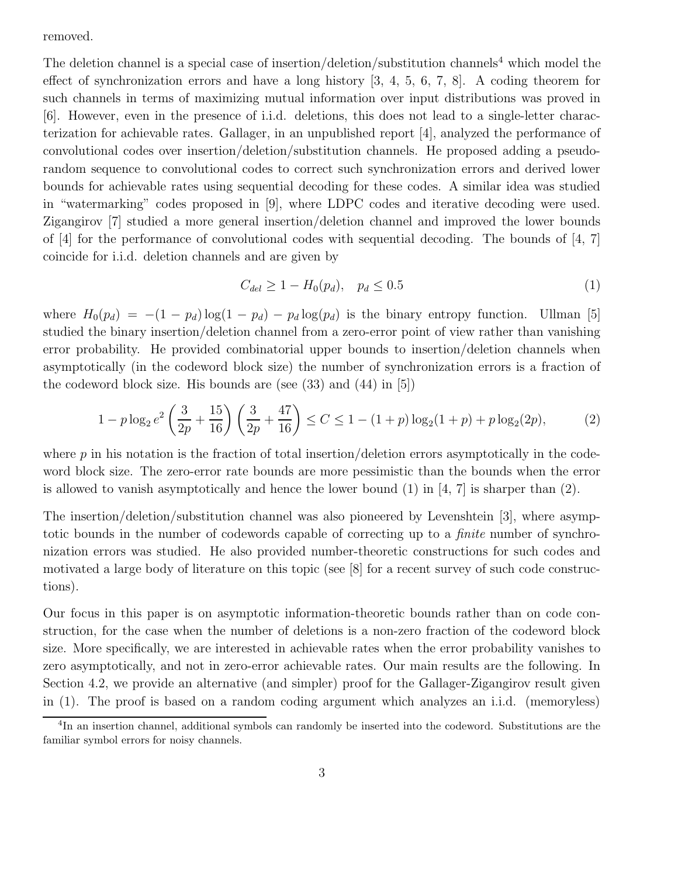removed.

The deletion channel is a special case of insertion/deletion/substitution channels<sup>4</sup> which model the effect of synchronization errors and have a long history [3, 4, 5, 6, 7, 8]. A coding theorem for such channels in terms of maximizing mutual information over input distributions was proved in [6]. However, even in the presence of i.i.d. deletions, this does not lead to a single-letter characterization for achievable rates. Gallager, in an unpublished report [4], analyzed the performance of convolutional codes over insertion/deletion/substitution channels. He proposed adding a pseudorandom sequence to convolutional codes to correct such synchronization errors and derived lower bounds for achievable rates using sequential decoding for these codes. A similar idea was studied in "watermarking" codes proposed in [9], where LDPC codes and iterative decoding were used. Zigangirov [7] studied a more general insertion/deletion channel and improved the lower bounds of  $[4]$  for the performance of convolutional codes with sequential decoding. The bounds of  $[4, 7]$ coincide for i.i.d. deletion channels and are given by

$$
C_{del} \ge 1 - H_0(p_d), \quad p_d \le 0.5 \tag{1}
$$

where  $H_0(p_d) = -(1 - p_d) \log(1 - p_d) - p_d \log(p_d)$  is the binary entropy function. Ullman [5] studied the binary insertion/deletion channel from a zero-error point of view rather than vanishing error probability. He provided combinatorial upper bounds to insertion/deletion channels when asymptotically (in the codeword block size) the number of synchronization errors is a fraction of the codeword block size. His bounds are (see (33) and (44) in [5])

$$
1 - p \log_2 e^2 \left(\frac{3}{2p} + \frac{15}{16}\right) \left(\frac{3}{2p} + \frac{47}{16}\right) \le C \le 1 - (1 + p) \log_2(1 + p) + p \log_2(2p),\tag{2}
$$

where  $p$  in his notation is the fraction of total insertion/deletion errors asymptotically in the codeword block size. The zero-error rate bounds are more pessimistic than the bounds when the error is allowed to vanish asymptotically and hence the lower bound  $(1)$  in [4, 7] is sharper than  $(2)$ .

The insertion/deletion/substitution channel was also pioneered by Levenshtein [3], where asymptotic bounds in the number of codewords capable of correcting up to a *finite* number of synchronization errors was studied. He also provided number-theoretic constructions for such codes and motivated a large body of literature on this topic (see [8] for a recent survey of such code constructions).

Our focus in this paper is on asymptotic information-theoretic bounds rather than on code construction, for the case when the number of deletions is a non-zero fraction of the codeword block size. More specifically, we are interested in achievable rates when the error probability vanishes to zero asymptotically, and not in zero-error achievable rates. Our main results are the following. In Section 4.2, we provide an alternative (and simpler) proof for the Gallager-Zigangirov result given in (1). The proof is based on a random coding argument which analyzes an i.i.d. (memoryless)

<sup>&</sup>lt;sup>4</sup>In an insertion channel, additional symbols can randomly be inserted into the codeword. Substitutions are the familiar symbol errors for noisy channels.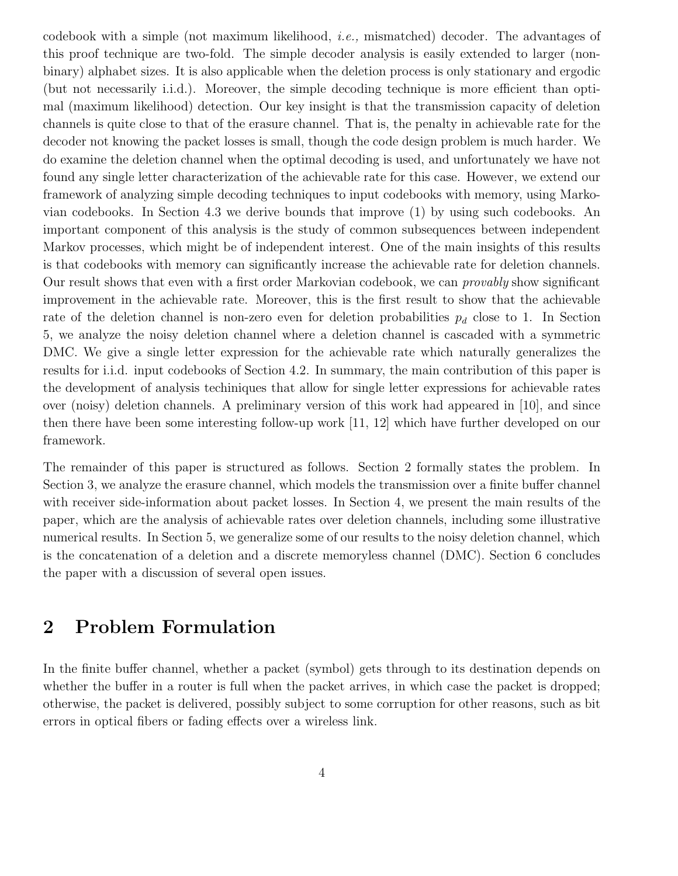codebook with a simple (not maximum likelihood, i.e., mismatched) decoder. The advantages of this proof technique are two-fold. The simple decoder analysis is easily extended to larger (nonbinary) alphabet sizes. It is also applicable when the deletion process is only stationary and ergodic (but not necessarily i.i.d.). Moreover, the simple decoding technique is more efficient than optimal (maximum likelihood) detection. Our key insight is that the transmission capacity of deletion channels is quite close to that of the erasure channel. That is, the penalty in achievable rate for the decoder not knowing the packet losses is small, though the code design problem is much harder. We do examine the deletion channel when the optimal decoding is used, and unfortunately we have not found any single letter characterization of the achievable rate for this case. However, we extend our framework of analyzing simple decoding techniques to input codebooks with memory, using Markovian codebooks. In Section 4.3 we derive bounds that improve (1) by using such codebooks. An important component of this analysis is the study of common subsequences between independent Markov processes, which might be of independent interest. One of the main insights of this results is that codebooks with memory can significantly increase the achievable rate for deletion channels. Our result shows that even with a first order Markovian codebook, we can provably show significant improvement in the achievable rate. Moreover, this is the first result to show that the achievable rate of the deletion channel is non-zero even for deletion probabilities  $p_d$  close to 1. In Section 5, we analyze the noisy deletion channel where a deletion channel is cascaded with a symmetric DMC. We give a single letter expression for the achievable rate which naturally generalizes the results for i.i.d. input codebooks of Section 4.2. In summary, the main contribution of this paper is the development of analysis techiniques that allow for single letter expressions for achievable rates over (noisy) deletion channels. A preliminary version of this work had appeared in [10], and since then there have been some interesting follow-up work [11, 12] which have further developed on our framework.

The remainder of this paper is structured as follows. Section 2 formally states the problem. In Section 3, we analyze the erasure channel, which models the transmission over a finite buffer channel with receiver side-information about packet losses. In Section 4, we present the main results of the paper, which are the analysis of achievable rates over deletion channels, including some illustrative numerical results. In Section 5, we generalize some of our results to the noisy deletion channel, which is the concatenation of a deletion and a discrete memoryless channel (DMC). Section 6 concludes the paper with a discussion of several open issues.

## 2 Problem Formulation

In the finite buffer channel, whether a packet (symbol) gets through to its destination depends on whether the buffer in a router is full when the packet arrives, in which case the packet is dropped; otherwise, the packet is delivered, possibly subject to some corruption for other reasons, such as bit errors in optical fibers or fading effects over a wireless link.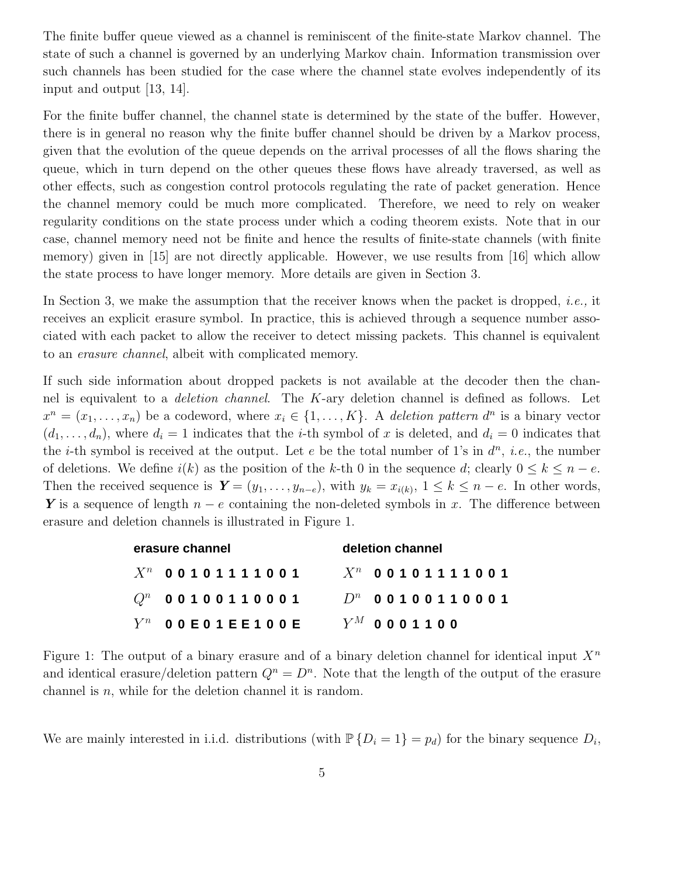The finite buffer queue viewed as a channel is reminiscent of the finite-state Markov channel. The state of such a channel is governed by an underlying Markov chain. Information transmission over such channels has been studied for the case where the channel state evolves independently of its input and output [13, 14].

For the finite buffer channel, the channel state is determined by the state of the buffer. However, there is in general no reason why the finite buffer channel should be driven by a Markov process, given that the evolution of the queue depends on the arrival processes of all the flows sharing the queue, which in turn depend on the other queues these flows have already traversed, as well as other effects, such as congestion control protocols regulating the rate of packet generation. Hence the channel memory could be much more complicated. Therefore, we need to rely on weaker regularity conditions on the state process under which a coding theorem exists. Note that in our case, channel memory need not be finite and hence the results of finite-state channels (with finite memory) given in [15] are not directly applicable. However, we use results from [16] which allow the state process to have longer memory. More details are given in Section 3.

In Section 3, we make the assumption that the receiver knows when the packet is dropped, *i.e.*, it receives an explicit erasure symbol. In practice, this is achieved through a sequence number associated with each packet to allow the receiver to detect missing packets. This channel is equivalent to an erasure channel, albeit with complicated memory.

If such side information about dropped packets is not available at the decoder then the channel is equivalent to a *deletion channel*. The  $K$ -ary deletion channel is defined as follows. Let  $x^n = (x_1, \ldots, x_n)$  be a codeword, where  $x_i \in \{1, \ldots, K\}$ . A deletion pattern  $d^n$  is a binary vector  $(d_1, \ldots, d_n)$ , where  $d_i = 1$  indicates that the *i*-th symbol of x is deleted, and  $d_i = 0$  indicates that the *i*-th symbol is received at the output. Let e be the total number of 1's in  $d^n$ , *i.e.*, the number of deletions. We define  $i(k)$  as the position of the k-th 0 in the sequence d; clearly  $0 \le k \le n - e$ . Then the received sequence is  $\mathbf{Y} = (y_1, \ldots, y_{n-e}),$  with  $y_k = x_{i(k)}, 1 \leq k \leq n-e$ . In other words, Y is a sequence of length  $n - e$  containing the non-deleted symbols in x. The difference between erasure and deletion channels is illustrated in Figure 1.

| erasure channel |                         | deletion channel |                   |  |
|-----------------|-------------------------|------------------|-------------------|--|
|                 | $X^n$ 00101111001       |                  | $X^n$ 00101111001 |  |
|                 | $Q^n$ 00100110001       |                  | $D^n$ 00100110001 |  |
|                 | $Y^n$ 00 E 01 E E 100 E |                  | $Y^M$ 0001100     |  |

Figure 1: The output of a binary erasure and of a binary deletion channel for identical input  $X<sup>n</sup>$ and identical erasure/deletion pattern  $Q^n = D^n$ . Note that the length of the output of the erasure channel is  $n$ , while for the deletion channel it is random.

We are mainly interested in i.i.d. distributions (with  $\mathbb{P} \{D_i = 1\} = p_d$ ) for the binary sequence  $D_i$ ,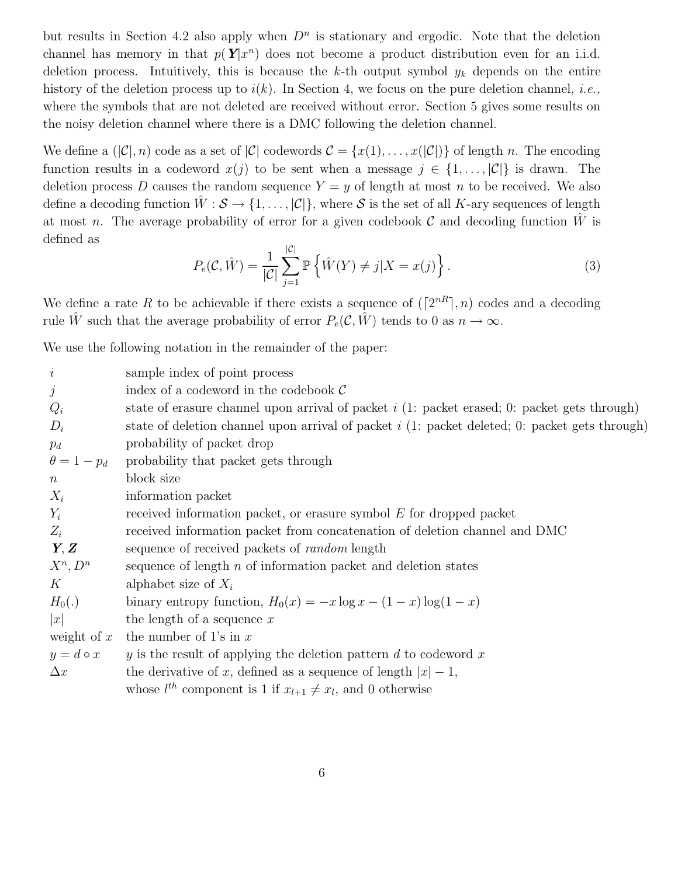but results in Section 4.2 also apply when  $D<sup>n</sup>$  is stationary and ergodic. Note that the deletion channel has memory in that  $p(Y|x^n)$  does not become a product distribution even for an i.i.d. deletion process. Intuitively, this is because the k-th output symbol  $y_k$  depends on the entire history of the deletion process up to  $i(k)$ . In Section 4, we focus on the pure deletion channel, *i.e.*, where the symbols that are not deleted are received without error. Section 5 gives some results on the noisy deletion channel where there is a DMC following the deletion channel.

We define a  $(|\mathcal{C}|, n)$  code as a set of  $|\mathcal{C}|$  codewords  $\mathcal{C} = \{x(1), \ldots, x(|\mathcal{C}|)\}\$  of length n. The encoding function results in a codeword  $x(j)$  to be sent when a message  $j \in \{1, \ldots, |\mathcal{C}|\}$  is drawn. The deletion process D causes the random sequence  $Y = y$  of length at most n to be received. We also define a decoding function  $\hat{W}: \mathcal{S} \to \{1, \ldots, |\mathcal{C}|\}$ , where S is the set of all K-ary sequences of length at most n. The average probability of error for a given codebook  $\mathcal C$  and decoding function  $\tilde W$  is defined as

$$
P_e(\mathcal{C}, \hat{W}) = \frac{1}{|\mathcal{C}|} \sum_{j=1}^{|\mathcal{C}|} \mathbb{P} \left\{ \hat{W}(Y) \neq j | X = x(j) \right\}.
$$
 (3)

We define a rate R to be achievable if there exists a sequence of  $([2^{nR}], n)$  codes and a decoding rule W<sup>o</sup> such that the average probability of error  $P_e(\mathcal{C}, \hat{W})$  tends to 0 as  $n \to \infty$ .

We use the following notation in the remainder of the paper:

| $\dot{i}$                       | sample index of point process                                                                    |  |
|---------------------------------|--------------------------------------------------------------------------------------------------|--|
| $\dot{\jmath}$                  | index of a codeword in the codebook $\mathcal C$                                                 |  |
| $Q_i$                           | state of erasure channel upon arrival of packet $i$ (1: packet erased; 0: packet gets through)   |  |
| $D_i$                           | state of deletion channel upon arrival of packet $i$ (1: packet deleted; 0: packet gets through) |  |
| $p_d$                           | probability of packet drop                                                                       |  |
| $\theta = 1 - p_d$              | probability that packet gets through                                                             |  |
| $\,n$                           | block size                                                                                       |  |
| $X_i$                           | information packet                                                                               |  |
| $Y_i$                           | received information packet, or erasure symbol $E$ for dropped packet                            |  |
| $Z_i$                           | received information packet from concatenation of deletion channel and DMC                       |  |
| $\boldsymbol{Y},\boldsymbol{Z}$ | sequence of received packets of <i>random</i> length                                             |  |
| $X^n, D^n$                      | sequence of length $n$ of information packet and deletion states                                 |  |
| K                               | alphabet size of $X_i$                                                                           |  |
| $H_0(.)$                        | binary entropy function, $H_0(x) = -x \log x - (1 - x) \log(1 - x)$                              |  |
| x                               | the length of a sequence $x$                                                                     |  |
| weight of $x$                   | the number of 1's in $x$                                                                         |  |
| $y = d \circ x$                 | y is the result of applying the deletion pattern $d$ to codeword $x$                             |  |
| $\Delta x$                      | the derivative of x, defined as a sequence of length $ x  - 1$ ,                                 |  |
|                                 | whose $l^{th}$ component is 1 if $x_{l+1} \neq x_l$ , and 0 otherwise                            |  |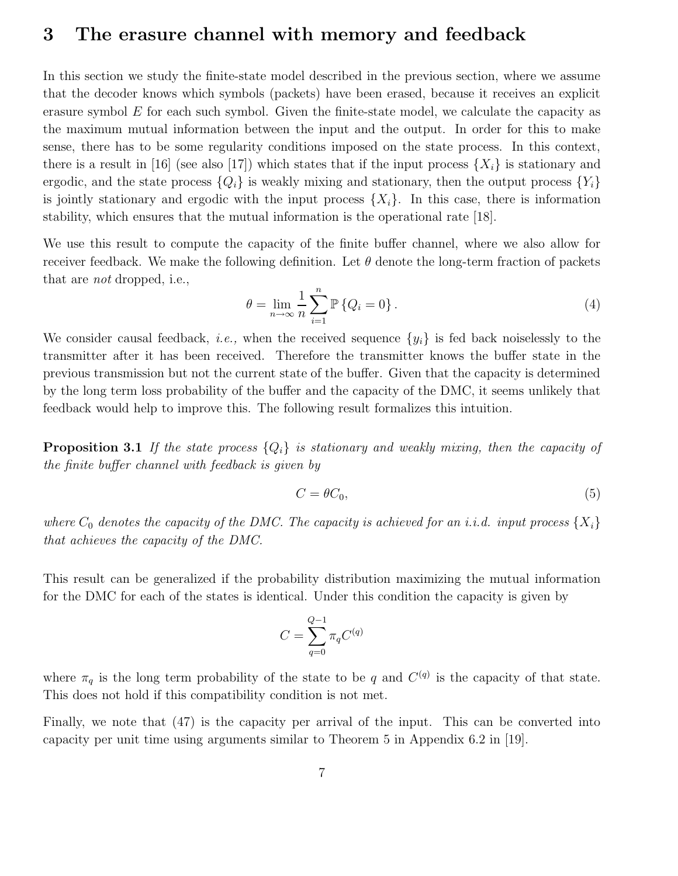### 3 The erasure channel with memory and feedback

In this section we study the finite-state model described in the previous section, where we assume that the decoder knows which symbols (packets) have been erased, because it receives an explicit erasure symbol  $E$  for each such symbol. Given the finite-state model, we calculate the capacity as the maximum mutual information between the input and the output. In order for this to make sense, there has to be some regularity conditions imposed on the state process. In this context, there is a result in [16] (see also [17]) which states that if the input process  $\{X_i\}$  is stationary and ergodic, and the state process  ${Q_i}$  is weakly mixing and stationary, then the output process  ${Y_i}$ is jointly stationary and ergodic with the input process  $\{X_i\}$ . In this case, there is information stability, which ensures that the mutual information is the operational rate [18].

We use this result to compute the capacity of the finite buffer channel, where we also allow for receiver feedback. We make the following definition. Let  $\theta$  denote the long-term fraction of packets that are not dropped, i.e.,

$$
\theta = \lim_{n \to \infty} \frac{1}{n} \sum_{i=1}^{n} \mathbb{P} \left\{ Q_i = 0 \right\}.
$$
\n
$$
(4)
$$

We consider causal feedback, *i.e.*, when the received sequence  $\{y_i\}$  is fed back noiselessly to the transmitter after it has been received. Therefore the transmitter knows the buffer state in the previous transmission but not the current state of the buffer. Given that the capacity is determined by the long term loss probability of the buffer and the capacity of the DMC, it seems unlikely that feedback would help to improve this. The following result formalizes this intuition.

**Proposition 3.1** If the state process  $\{Q_i\}$  is stationary and weakly mixing, then the capacity of the finite buffer channel with feedback is given by

$$
C = \theta C_0,\tag{5}
$$

where  $C_0$  denotes the capacity of the DMC. The capacity is achieved for an i.i.d. input process  $\{X_i\}$ that achieves the capacity of the DMC.

This result can be generalized if the probability distribution maximizing the mutual information for the DMC for each of the states is identical. Under this condition the capacity is given by

$$
C=\sum_{q=0}^{Q-1}\pi_qC^{(q)}
$$

where  $\pi_q$  is the long term probability of the state to be q and  $C^{(q)}$  is the capacity of that state. This does not hold if this compatibility condition is not met.

Finally, we note that (47) is the capacity per arrival of the input. This can be converted into capacity per unit time using arguments similar to Theorem 5 in Appendix 6.2 in [19].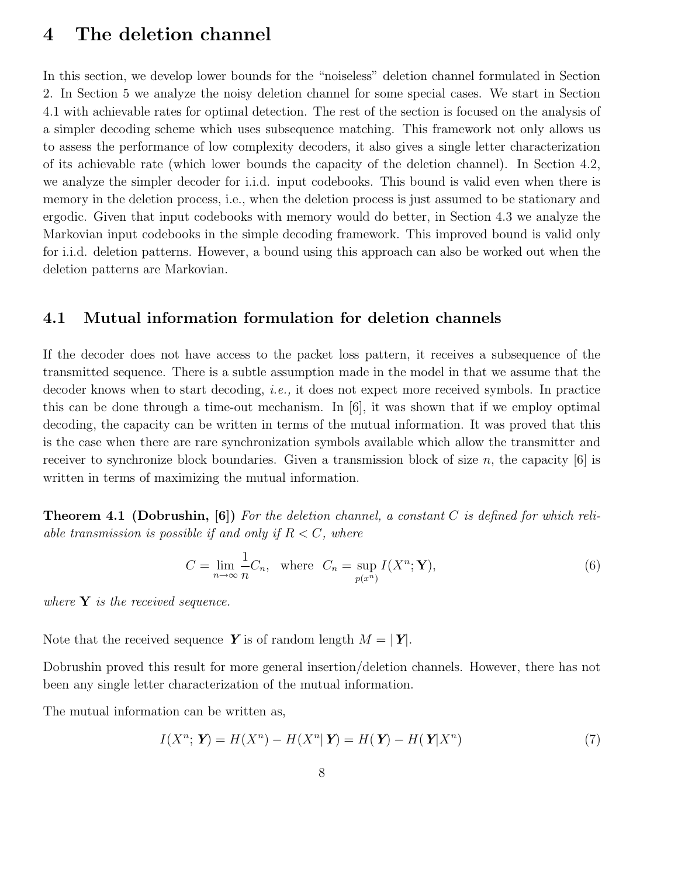# 4 The deletion channel

In this section, we develop lower bounds for the "noiseless" deletion channel formulated in Section 2. In Section 5 we analyze the noisy deletion channel for some special cases. We start in Section 4.1 with achievable rates for optimal detection. The rest of the section is focused on the analysis of a simpler decoding scheme which uses subsequence matching. This framework not only allows us to assess the performance of low complexity decoders, it also gives a single letter characterization of its achievable rate (which lower bounds the capacity of the deletion channel). In Section 4.2, we analyze the simpler decoder for i.i.d. input codebooks. This bound is valid even when there is memory in the deletion process, i.e., when the deletion process is just assumed to be stationary and ergodic. Given that input codebooks with memory would do better, in Section 4.3 we analyze the Markovian input codebooks in the simple decoding framework. This improved bound is valid only for i.i.d. deletion patterns. However, a bound using this approach can also be worked out when the deletion patterns are Markovian.

### 4.1 Mutual information formulation for deletion channels

If the decoder does not have access to the packet loss pattern, it receives a subsequence of the transmitted sequence. There is a subtle assumption made in the model in that we assume that the decoder knows when to start decoding, *i.e.*, it does not expect more received symbols. In practice this can be done through a time-out mechanism. In [6], it was shown that if we employ optimal decoding, the capacity can be written in terms of the mutual information. It was proved that this is the case when there are rare synchronization symbols available which allow the transmitter and receiver to synchronize block boundaries. Given a transmission block of size  $n$ , the capacity  $\lbrack 6\rbrack$  is written in terms of maximizing the mutual information.

**Theorem 4.1 (Dobrushin, [6])** For the deletion channel, a constant C is defined for which reliable transmission is possible if and only if  $R < C$ , where

$$
C = \lim_{n \to \infty} \frac{1}{n} C_n, \quad \text{where} \quad C_n = \sup_{p(x^n)} I(X^n; \mathbf{Y}), \tag{6}
$$

where  $Y$  is the received sequence.

Note that the received sequence Y is of random length  $M = |Y|$ .

Dobrushin proved this result for more general insertion/deletion channels. However, there has not been any single letter characterization of the mutual information.

The mutual information can be written as,

$$
I(X^n; Y) = H(X^n) - H(X^n | Y) = H(Y) - H(Y | X^n)
$$
\n<sup>(7)</sup>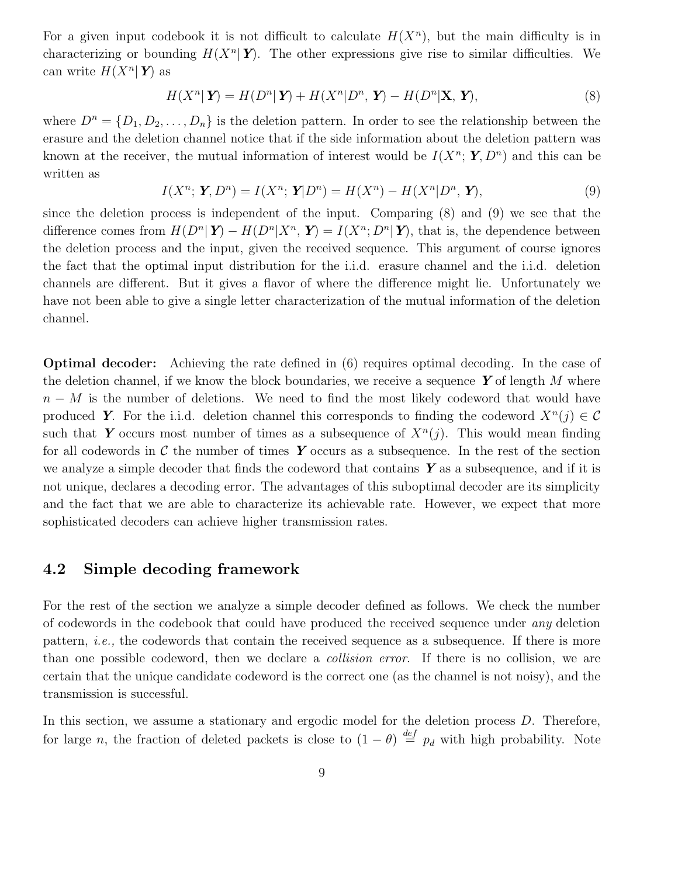For a given input codebook it is not difficult to calculate  $H(X^n)$ , but the main difficulty is in characterizing or bounding  $H(X^n | Y)$ . The other expressions give rise to similar difficulties. We can write  $H(X^n | Y)$  as

$$
H(X^n | Y) = H(D^n | Y) + H(X^n | D^n, Y) - H(D^n | \mathbf{X}, Y),
$$
\n(8)

where  $D^n = \{D_1, D_2, \ldots, D_n\}$  is the deletion pattern. In order to see the relationship between the erasure and the deletion channel notice that if the side information about the deletion pattern was known at the receiver, the mutual information of interest would be  $I(X^n; Y, D^n)$  and this can be written as

$$
I(X^{n}; Y, D^{n}) = I(X^{n}; Y | D^{n}) = H(X^{n}) - H(X^{n} | D^{n}, Y),
$$
\n(9)

since the deletion process is independent of the input. Comparing (8) and (9) we see that the difference comes from  $H(D^n | Y) - H(D^n | X^n, Y) = I(X^n; D^n | Y)$ , that is, the dependence between the deletion process and the input, given the received sequence. This argument of course ignores the fact that the optimal input distribution for the i.i.d. erasure channel and the i.i.d. deletion channels are different. But it gives a flavor of where the difference might lie. Unfortunately we have not been able to give a single letter characterization of the mutual information of the deletion channel.

Optimal decoder: Achieving the rate defined in (6) requires optimal decoding. In the case of the deletion channel, if we know the block boundaries, we receive a sequence  $\boldsymbol{Y}$  of length M where  $n - M$  is the number of deletions. We need to find the most likely codeword that would have produced Y. For the i.i.d. deletion channel this corresponds to finding the codeword  $X^n(j) \in \mathcal{C}$ such that Y occurs most number of times as a subsequence of  $X<sup>n</sup>(j)$ . This would mean finding for all codewords in C the number of times Y occurs as a subsequence. In the rest of the section we analyze a simple decoder that finds the codeword that contains  $Y$  as a subsequence, and if it is not unique, declares a decoding error. The advantages of this suboptimal decoder are its simplicity and the fact that we are able to characterize its achievable rate. However, we expect that more sophisticated decoders can achieve higher transmission rates.

### 4.2 Simple decoding framework

For the rest of the section we analyze a simple decoder defined as follows. We check the number of codewords in the codebook that could have produced the received sequence under *any* deletion pattern, i.e., the codewords that contain the received sequence as a subsequence. If there is more than one possible codeword, then we declare a *collision error*. If there is no collision, we are certain that the unique candidate codeword is the correct one (as the channel is not noisy), and the transmission is successful.

In this section, we assume a stationary and ergodic model for the deletion process  $D$ . Therefore, for large n, the fraction of deleted packets is close to  $(1 - \theta) \stackrel{def}{=} p_d$  with high probability. Note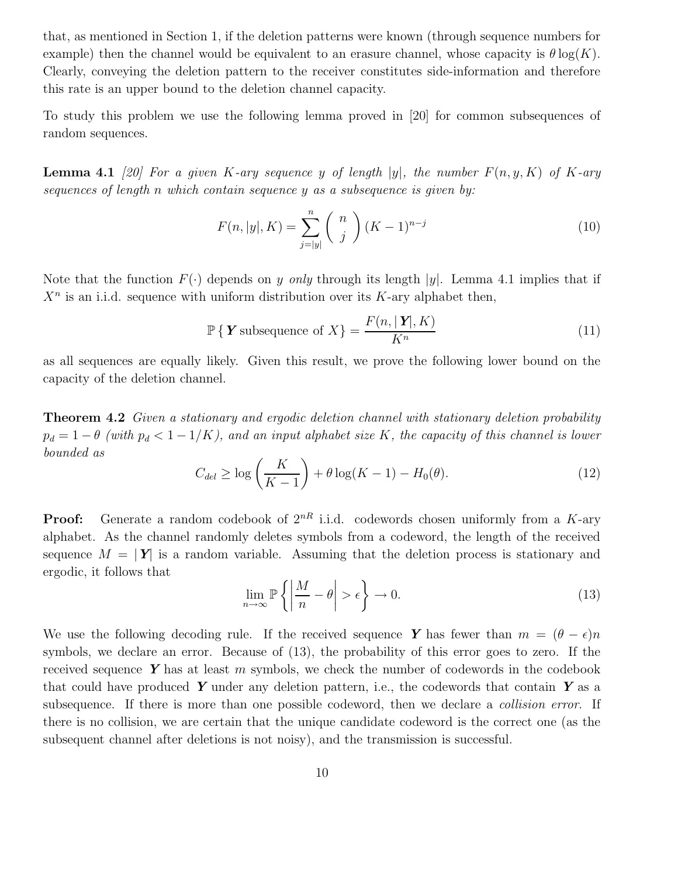that, as mentioned in Section 1, if the deletion patterns were known (through sequence numbers for example) then the channel would be equivalent to an erasure channel, whose capacity is  $\theta \log(K)$ . Clearly, conveying the deletion pattern to the receiver constitutes side-information and therefore this rate is an upper bound to the deletion channel capacity.

To study this problem we use the following lemma proved in [20] for common subsequences of random sequences.

**Lemma 4.1** [20] For a given K-ary sequence y of length |y|, the number  $F(n, y, K)$  of K-ary sequences of length n which contain sequence y as a subsequence is given by:

$$
F(n, |y|, K) = \sum_{j=|y|}^{n} \binom{n}{j} (K-1)^{n-j}
$$
\n(10)

Note that the function  $F(\cdot)$  depends on y only through its length |y|. Lemma 4.1 implies that if  $X<sup>n</sup>$  is an i.i.d. sequence with uniform distribution over its K-ary alphabet then,

$$
\mathbb{P}\left\{\mathbf{Y} \text{ subsequence of } X\right\} = \frac{F(n, |\mathbf{Y}|, K)}{K^n} \tag{11}
$$

as all sequences are equally likely. Given this result, we prove the following lower bound on the capacity of the deletion channel.

**Theorem 4.2** Given a stationary and ergodic deletion channel with stationary deletion probability  $p_d = 1 - \theta$  (with  $p_d < 1 - 1/K$ ), and an input alphabet size K, the capacity of this channel is lower bounded as

$$
C_{del} \ge \log\left(\frac{K}{K-1}\right) + \theta \log(K-1) - H_0(\theta). \tag{12}
$$

**Proof:** Generate a random codebook of  $2^{nR}$  i.i.d. codewords chosen uniformly from a K-ary alphabet. As the channel randomly deletes symbols from a codeword, the length of the received sequence  $M = |\mathbf{Y}|$  is a random variable. Assuming that the deletion process is stationary and ergodic, it follows that

$$
\lim_{n \to \infty} \mathbb{P}\left\{ \left| \frac{M}{n} - \theta \right| > \epsilon \right\} \to 0. \tag{13}
$$

We use the following decoding rule. If the received sequence Y has fewer than  $m = (\theta - \epsilon)n$ symbols, we declare an error. Because of (13), the probability of this error goes to zero. If the received sequence Y has at least m symbols, we check the number of codewords in the codebook that could have produced Y under any deletion pattern, i.e., the codewords that contain Y as a subsequence. If there is more than one possible codeword, then we declare a *collision error*. If there is no collision, we are certain that the unique candidate codeword is the correct one (as the subsequent channel after deletions is not noisy), and the transmission is successful.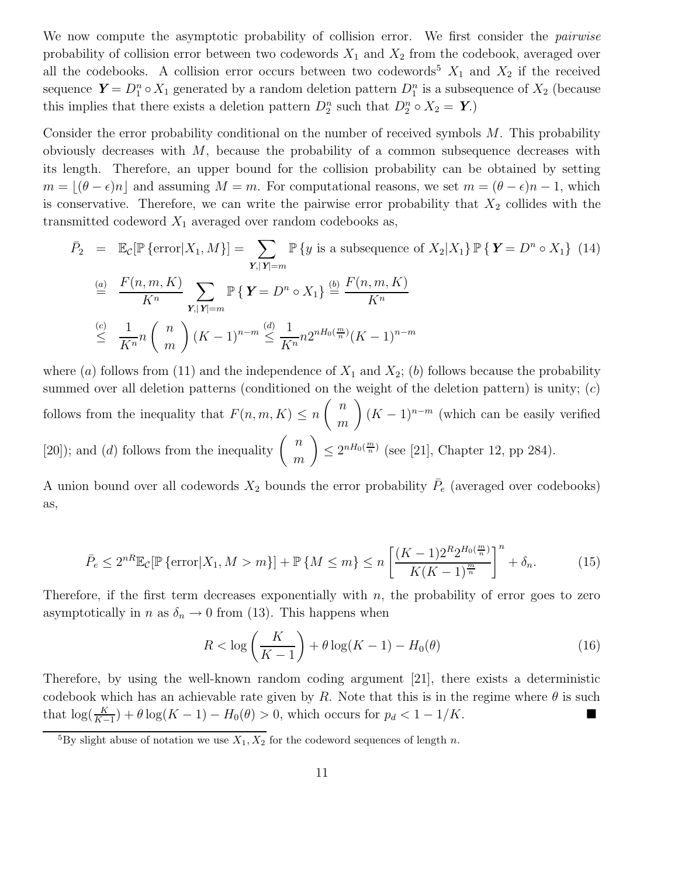We now compute the asymptotic probability of collision error. We first consider the *pairwise* probability of collision error between two codewords  $X_1$  and  $X_2$  from the codebook, averaged over all the codebooks. A collision error occurs between two codewords<sup>5</sup>  $X_1$  and  $X_2$  if the received sequence  $\mathbf{Y} = D_1^n \circ X_1$  generated by a random deletion pattern  $D_1^n$  is a subsequence of  $X_2$  (because this implies that there exists a deletion pattern  $D_2^n$  such that  $D_2^n \circ X_2 = \mathbf{Y}$ .

Consider the error probability conditional on the number of received symbols  $M$ . This probability obviously decreases with  $M$ , because the probability of a common subsequence decreases with its length. Therefore, an upper bound for the collision probability can be obtained by setting  $m = \lfloor (\theta - \epsilon)n \rfloor$  and assuming  $M = m$ . For computational reasons, we set  $m = (\theta - \epsilon)n - 1$ , which is conservative. Therefore, we can write the pairwise error probability that  $X_2$  collides with the transmitted codeword  $X_1$  averaged over random codebooks as,

$$
\bar{P}_2 = \mathbb{E}_{\mathcal{C}}[\mathbb{P}\{\text{error}|X_1, M\}] = \sum_{\mathbf{Y}, |\mathbf{Y}| = m} \mathbb{P}\{y \text{ is a subsequence of } X_2 | X_1\} \mathbb{P}\{\mathbf{Y} = D^n \circ X_1\} \quad (14)
$$
\n
$$
\stackrel{(a)}{=} \frac{F(n, m, K)}{K^n} \sum_{\mathbf{Y}, |\mathbf{Y}| = m} \mathbb{P}\{\mathbf{Y} = D^n \circ X_1\} \stackrel{(b)}{=} \frac{F(n, m, K)}{K^n}
$$
\n
$$
\stackrel{(c)}{\leq} \frac{1}{K^n} n \binom{n}{m} (K-1)^{n-m} \stackrel{(d)}{\leq} \frac{1}{K^n} n 2^{nH_0(\frac{m}{n})} (K-1)^{n-m}
$$

where (a) follows from (11) and the independence of  $X_1$  and  $X_2$ ; (b) follows because the probability summed over all deletion patterns (conditioned on the weight of the deletion pattern) is unity;  $(c)$ follows from the inequality that  $F(n, m, K) \leq n$  $\binom{n}{n}$ m  $(K-1)^{n-m}$  (which can be easily verified [20]); and (d) follows from the inequality  $\begin{pmatrix} n \\ n \end{pmatrix}$ m  $\left( \leq 2^{nH_0(\frac{m}{n})} \right)$  (see [21], Chapter 12, pp 284).

A union bound over all codewords  $X_2$  bounds the error probability  $\bar{P}_e$  (averaged over codebooks) as,

$$
\bar{P}_e \le 2^{nR} \mathbb{E}_{\mathcal{C}}[\mathbb{P}\left\{\text{error}|X_1, M > m\right\}] + \mathbb{P}\left\{M \le m\right\} \le n \left[\frac{(K-1)2^R 2^{H_0(\frac{m}{n})}}{K(K-1)^{\frac{m}{n}}}\right]^n + \delta_n. \tag{15}
$$

Therefore, if the first term decreases exponentially with  $n$ , the probability of error goes to zero asymptotically in n as  $\delta_n \to 0$  from (13). This happens when

$$
R < \log\left(\frac{K}{K-1}\right) + \theta \log(K-1) - H_0(\theta) \tag{16}
$$

Therefore, by using the well-known random coding argument [21], there exists a deterministic codebook which has an achievable rate given by R. Note that this is in the regime where  $\theta$  is such that  $\log(\frac{K}{K-1})$  $\frac{K}{K-1}$  +  $\theta \log(K-1) - H_0(\theta) > 0$ , which occurs for  $p_d < 1 - 1/K$ . ■

<sup>&</sup>lt;sup>5</sup>By slight abuse of notation we use  $X_1, X_2$  for the codeword sequences of length n.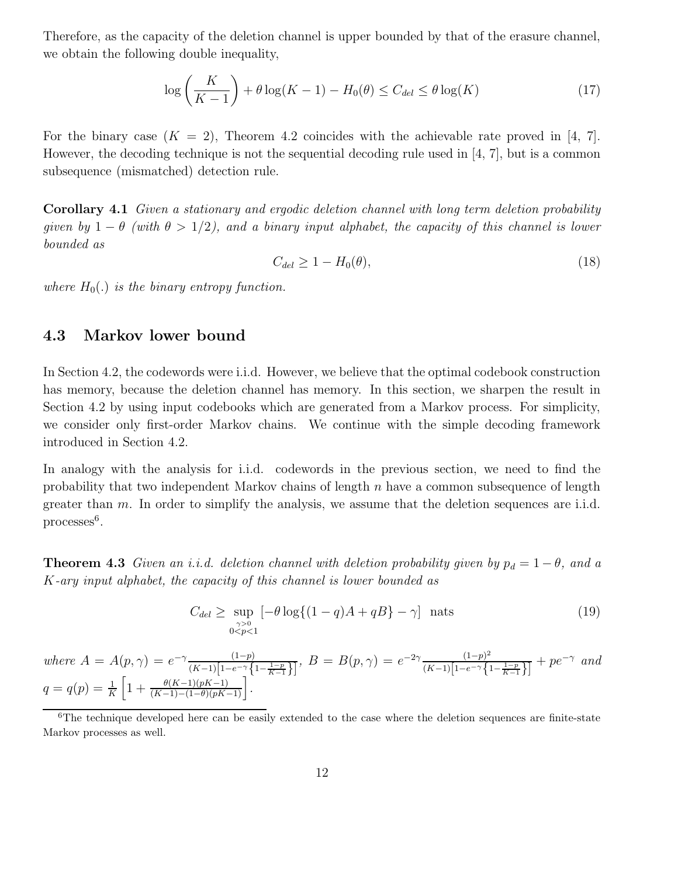Therefore, as the capacity of the deletion channel is upper bounded by that of the erasure channel, we obtain the following double inequality,

$$
\log\left(\frac{K}{K-1}\right) + \theta \log(K-1) - H_0(\theta) \le C_{del} \le \theta \log(K) \tag{17}
$$

For the binary case  $(K = 2)$ , Theorem 4.2 coincides with the achievable rate proved in [4, 7]. However, the decoding technique is not the sequential decoding rule used in [4, 7], but is a common subsequence (mismatched) detection rule.

Corollary 4.1 Given a stationary and ergodic deletion channel with long term deletion probability given by  $1 - \theta$  (with  $\theta > 1/2$ ), and a binary input alphabet, the capacity of this channel is lower bounded as

$$
C_{del} \ge 1 - H_0(\theta),\tag{18}
$$

where  $H_0(.)$  is the binary entropy function.

### 4.3 Markov lower bound

In Section 4.2, the codewords were i.i.d. However, we believe that the optimal codebook construction has memory, because the deletion channel has memory. In this section, we sharpen the result in Section 4.2 by using input codebooks which are generated from a Markov process. For simplicity, we consider only first-order Markov chains. We continue with the simple decoding framework introduced in Section 4.2.

In analogy with the analysis for i.i.d. codewords in the previous section, we need to find the probability that two independent Markov chains of length  $n$  have a common subsequence of length greater than m. In order to simplify the analysis, we assume that the deletion sequences are i.i.d.  $processes<sup>6</sup>$ .

**Theorem 4.3** Given an i.i.d. deletion channel with deletion probability given by  $p_d = 1 - \theta$ , and a K-ary input alphabet, the capacity of this channel is lower bounded as

$$
C_{del} \ge \sup_{\substack{\gamma > 0 \\ 0 < p < 1}} \left[ -\theta \log \{ (1 - q)A + qB \} - \gamma \right] \text{ nats} \tag{19}
$$

where  $A = A(p, \gamma) = e^{-\gamma} \frac{(1-p)}{(K-1)\left[1-\frac{1}{2}\right]}$  $\frac{(1-p)}{(K-1)\left[1-e^{-\gamma}\left\{1-\frac{1-p}{K-1}\right\}\right]},\ B=B(p,\gamma)=e^{-2\gamma}\frac{(1-p)^2}{(K-1)\left[1-e^{-\gamma}\left\{\frac{1-p}{K-1}\right\}\right]}$  $\frac{(1-p)^2}{(K-1)\left[1-e^{-\gamma}\left\{1-\frac{1-p}{K-1}\right\}\right]} + pe^{-\gamma}$  and  $q = q(p) = \frac{1}{k}$  $\frac{1}{K} \left[ 1 + \frac{\theta(K-1)(pK-1)}{(K-1)-(1-\theta)(pK-1)} \right].$ 

 $6$ The technique developed here can be easily extended to the case where the deletion sequences are finite-state Markov processes as well.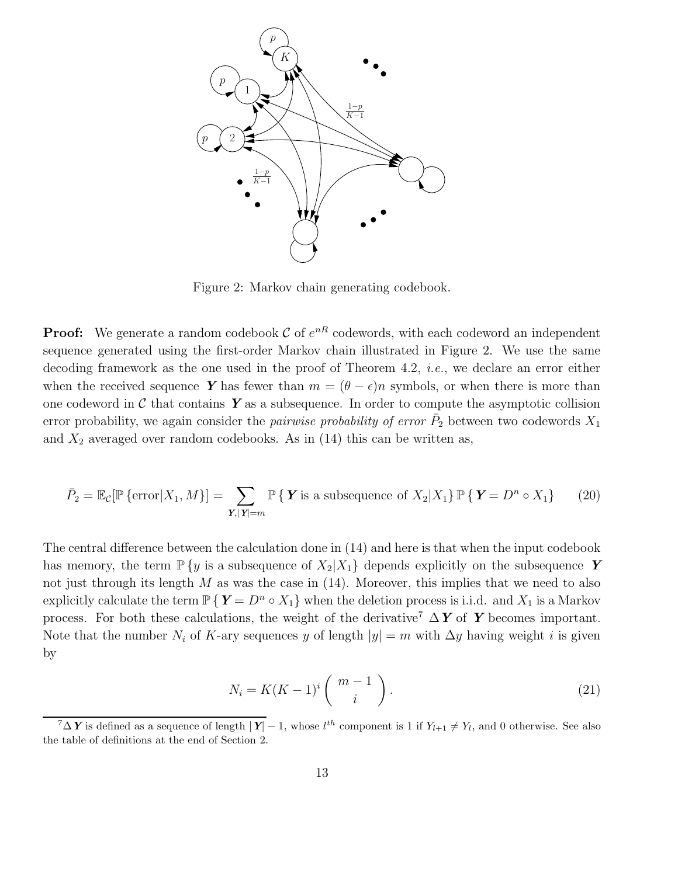

Figure 2: Markov chain generating codebook.

**Proof:** We generate a random codebook  $\mathcal{C}$  of  $e^{nR}$  codewords, with each codeword an independent sequence generated using the first-order Markov chain illustrated in Figure 2. We use the same decoding framework as the one used in the proof of Theorem 4.2, *i.e.*, we declare an error either when the received sequence Y has fewer than  $m = (\theta - \epsilon)n$  symbols, or when there is more than one codeword in  $\mathcal C$  that contains  $Y$  as a subsequence. In order to compute the asymptotic collision error probability, we again consider the *pairwise probability of error*  $\bar{P}_2$  between two codewords  $X_1$ and  $X_2$  averaged over random codebooks. As in (14) this can be written as,

$$
\bar{P}_2 = \mathbb{E}_{\mathcal{C}}[\mathbb{P}\left\{\text{error}|X_1, M\right\}] = \sum_{\mathbf{Y}, |\mathbf{Y}| = m} \mathbb{P}\left\{\mathbf{Y} \text{ is a subsequence of } X_2 | X_1\right\} \mathbb{P}\left\{\mathbf{Y} = D^n \circ X_1\right\} \tag{20}
$$

The central difference between the calculation done in (14) and here is that when the input codebook has memory, the term  $\mathbb{P}\{y \text{ is a subsequence of } X_2 | X_1\}$  depends explicitly on the subsequence Y not just through its length  $M$  as was the case in  $(14)$ . Moreover, this implies that we need to also explicitly calculate the term  $\mathbb{P} \{ Y = D^n \circ X_1 \}$  when the deletion process is i.i.d. and  $X_1$  is a Markov process. For both these calculations, the weight of the derivative<sup>7</sup>  $\Delta Y$  of Y becomes important. Note that the number  $N_i$  of K-ary sequences y of length  $|y| = m$  with  $\Delta y$  having weight i is given by

$$
N_i = K(K-1)^i \binom{m-1}{i}.
$$
\n(21)

 ${}^{7}\Delta Y$  is defined as a sequence of length  $|Y|-1$ , whose  $l^{th}$  component is 1 if  $Y_{l+1}\neq Y_l$ , and 0 otherwise. See also the table of definitions at the end of Section 2.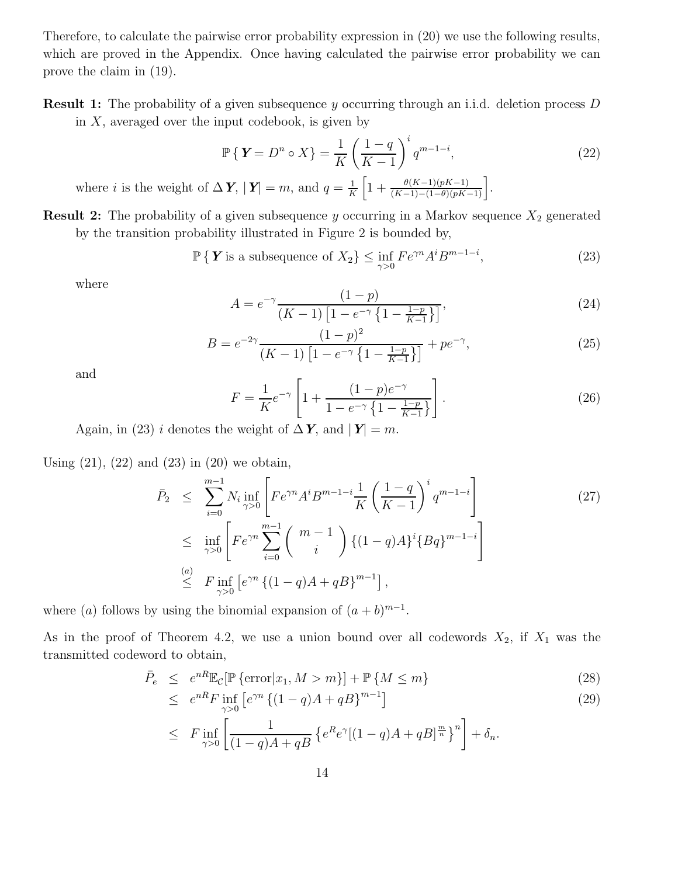Therefore, to calculate the pairwise error probability expression in (20) we use the following results, which are proved in the Appendix. Once having calculated the pairwise error probability we can prove the claim in (19).

**Result 1:** The probability of a given subsequence y occurring through an i.i.d. deletion process D in  $X$ , averaged over the input codebook, is given by

$$
\mathbb{P}\left\{\mathbf{Y} = D^n \circ X\right\} = \frac{1}{K} \left(\frac{1-q}{K-1}\right)^i q^{m-1-i},\tag{22}
$$

where *i* is the weight of  $\Delta Y$ ,  $|Y| = m$ , and  $q = \frac{1}{k}$  $\frac{1}{K} \left[ 1 + \frac{\theta(K-1)(pK-1)}{(K-1)-(1-\theta)(pK-1)} \right].$ 

**Result 2:** The probability of a given subsequence y occurring in a Markov sequence  $X_2$  generated by the transition probability illustrated in Figure 2 is bounded by,

> $\mathbb{P}\{\mathbf{Y} \text{ is a subsequence of } X_2\} \leq \inf_{\gamma>0} F e^{\gamma n} A^i B^{m-1-i}$  $(23)$

where

$$
A = e^{-\gamma} \frac{(1-p)}{(K-1)\left[1 - e^{-\gamma} \left\{1 - \frac{1-p}{K-1}\right\}\right]},
$$
\n(24)

$$
B = e^{-2\gamma} \frac{(1-p)^2}{(K-1)\left[1 - e^{-\gamma}\left\{1 - \frac{1-p}{K-1}\right\}\right]} + pe^{-\gamma},\tag{25}
$$

and

$$
F = \frac{1}{K}e^{-\gamma} \left[ 1 + \frac{(1-p)e^{-\gamma}}{1 - e^{-\gamma} \{1 - \frac{1-p}{K-1}\}} \right].
$$
\n(26)

Again, in (23) *i* denotes the weight of  $\Delta Y$ , and  $|Y| = m$ .

Using  $(21)$ ,  $(22)$  and  $(23)$  in  $(20)$  we obtain,

$$
\bar{P}_2 \leq \sum_{i=0}^{m-1} N_i \inf_{\gamma>0} \left[ F e^{\gamma n} A^i B^{m-1-i} \frac{1}{K} \left( \frac{1-q}{K-1} \right)^i q^{m-1-i} \right]
$$
\n
$$
\leq \inf_{\gamma>0} \left[ F e^{\gamma n} \sum_{i=0}^{m-1} {m-1 \choose i} \{ (1-q)A \}^i \{ Bq \}^{m-1-i} \right]
$$
\n
$$
\leq F \inf_{\gamma>0} \left[ e^{\gamma n} \{ (1-q)A + qB \}^{m-1} \right],
$$
\n(27)

where (a) follows by using the binomial expansion of  $(a + b)^{m-1}$ .

As in the proof of Theorem 4.2, we use a union bound over all codewords  $X_2$ , if  $X_1$  was the transmitted codeword to obtain,

$$
\bar{P}_e \le e^{nR} \mathbb{E}_{\mathcal{C}}[\mathbb{P}\left\{\text{error}|x_1, M > m\right\}] + \mathbb{P}\left\{M \le m\right\} \tag{28}
$$

$$
\leq e^{nR} F \inf_{\gamma > 0} \left[ e^{\gamma n} \left\{ (1 - q) A + q B \right\}^{m-1} \right] \tag{29}
$$

$$
\leq F \inf_{\gamma>0} \left[ \frac{1}{(1-q)A + qB} \left\{ e^R e^{\gamma} [(1-q)A + qB]^{\frac{m}{n}} \right\}^n \right] + \delta_n.
$$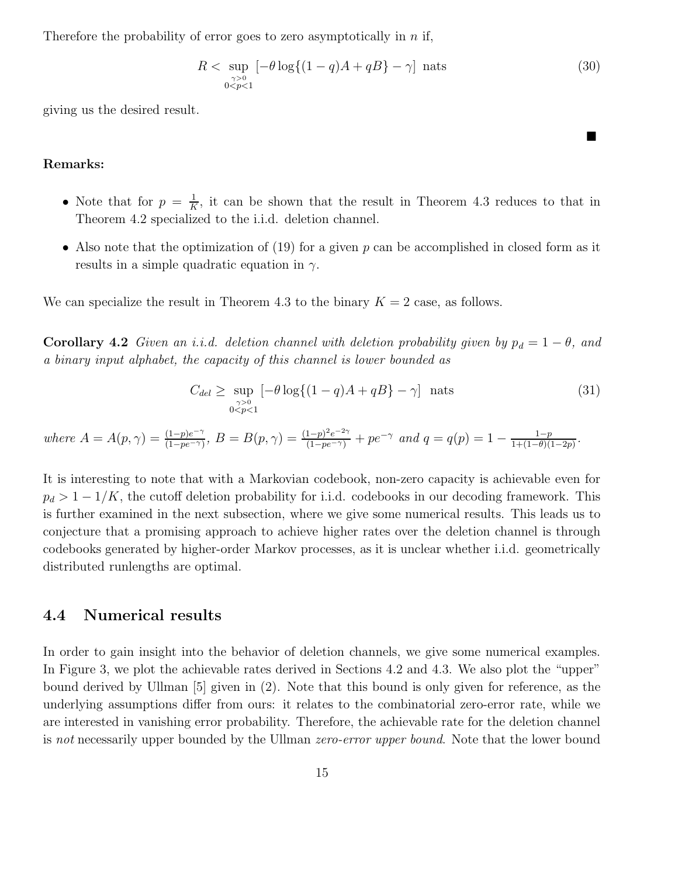Therefore the probability of error goes to zero asymptotically in  $n$  if,

$$
R < \sup_{\substack{\gamma > 0 \\ 0 < p < 1}} \left[ -\theta \log \{ (1 - q)A + qB \} - \gamma \right] \text{ nats} \tag{30}
$$

 $\blacksquare$ 

giving us the desired result.

#### Remarks:

- Note that for  $p = \frac{1}{k}$  $\frac{1}{K}$ , it can be shown that the result in Theorem 4.3 reduces to that in Theorem 4.2 specialized to the i.i.d. deletion channel.
- Also note that the optimization of (19) for a given p can be accomplished in closed form as it results in a simple quadratic equation in  $\gamma$ .

We can specialize the result in Theorem 4.3 to the binary  $K = 2$  case, as follows.

**Corollary 4.2** Given an i.i.d. deletion channel with deletion probability given by  $p_d = 1 - \theta$ , and a binary input alphabet, the capacity of this channel is lower bounded as

$$
C_{del} \ge \sup_{\substack{\gamma > 0 \\ 0 < p < 1}} \left[ -\theta \log \{ (1 - q)A + qB \} - \gamma \right] \text{ nats} \tag{31}
$$

where  $A = A(p, \gamma) = \frac{(1-p)e^{-\gamma}}{(1-p e^{-\gamma})}$  $\frac{(1-p)e^{-\gamma}}{(1-pe^{-\gamma})}, B = B(p,\gamma) = \frac{(1-p)^2e^{-2\gamma}}{(1-pe^{-\gamma})} + pe^{-\gamma}$  and  $q = q(p) = 1 - \frac{1-p}{1+(1-\theta)(p)}$  $\frac{1-p}{1+(1-\theta)(1-2p)}$ .

It is interesting to note that with a Markovian codebook, non-zero capacity is achievable even for  $p_d > 1 - 1/K$ , the cutoff deletion probability for i.i.d. codebooks in our decoding framework. This is further examined in the next subsection, where we give some numerical results. This leads us to conjecture that a promising approach to achieve higher rates over the deletion channel is through codebooks generated by higher-order Markov processes, as it is unclear whether i.i.d. geometrically distributed runlengths are optimal.

### 4.4 Numerical results

In order to gain insight into the behavior of deletion channels, we give some numerical examples. In Figure 3, we plot the achievable rates derived in Sections 4.2 and 4.3. We also plot the "upper" bound derived by Ullman [5] given in (2). Note that this bound is only given for reference, as the underlying assumptions differ from ours: it relates to the combinatorial zero-error rate, while we are interested in vanishing error probability. Therefore, the achievable rate for the deletion channel is not necessarily upper bounded by the Ullman *zero-error upper bound*. Note that the lower bound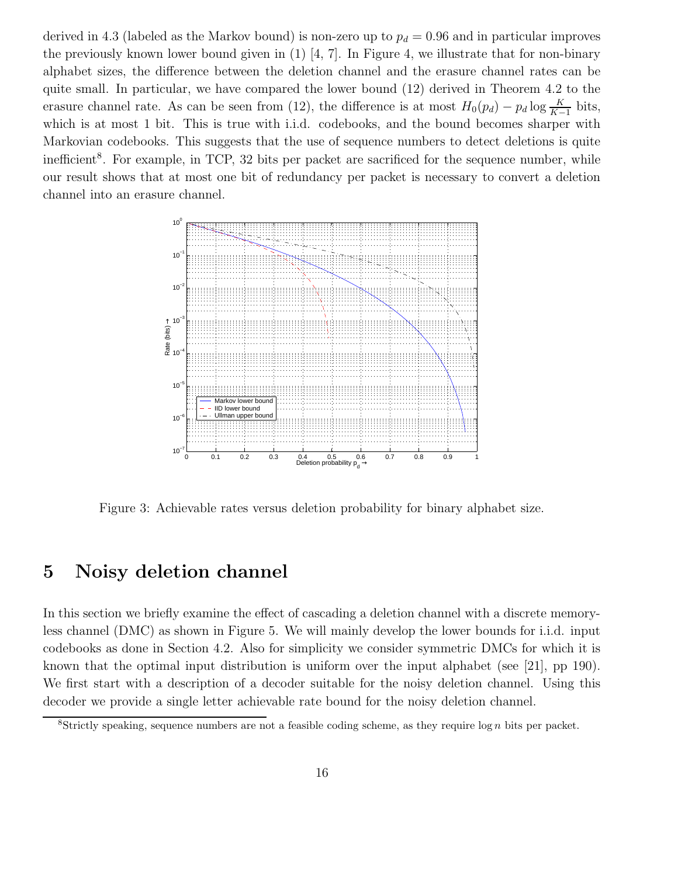derived in 4.3 (labeled as the Markov bound) is non-zero up to  $p_d = 0.96$  and in particular improves the previously known lower bound given in  $(1)$  [4, 7]. In Figure 4, we illustrate that for non-binary alphabet sizes, the difference between the deletion channel and the erasure channel rates can be quite small. In particular, we have compared the lower bound (12) derived in Theorem 4.2 to the erasure channel rate. As can be seen from (12), the difference is at most  $H_0(p_d) - p_d \log \frac{K}{K-1}$  bits, which is at most 1 bit. This is true with i.i.d. codebooks, and the bound becomes sharper with Markovian codebooks. This suggests that the use of sequence numbers to detect deletions is quite inefficient 8 . For example, in TCP, 32 bits per packet are sacrificed for the sequence number, while our result shows that at most one bit of redundancy per packet is necessary to convert a deletion channel into an erasure channel.



Figure 3: Achievable rates versus deletion probability for binary alphabet size.

### 5 Noisy deletion channel

In this section we briefly examine the effect of cascading a deletion channel with a discrete memoryless channel (DMC) as shown in Figure 5. We will mainly develop the lower bounds for i.i.d. input codebooks as done in Section 4.2. Also for simplicity we consider symmetric DMCs for which it is known that the optimal input distribution is uniform over the input alphabet (see [21], pp 190). We first start with a description of a decoder suitable for the noisy deletion channel. Using this decoder we provide a single letter achievable rate bound for the noisy deletion channel.

<sup>&</sup>lt;sup>8</sup>Strictly speaking, sequence numbers are not a feasible coding scheme, as they require  $\log n$  bits per packet.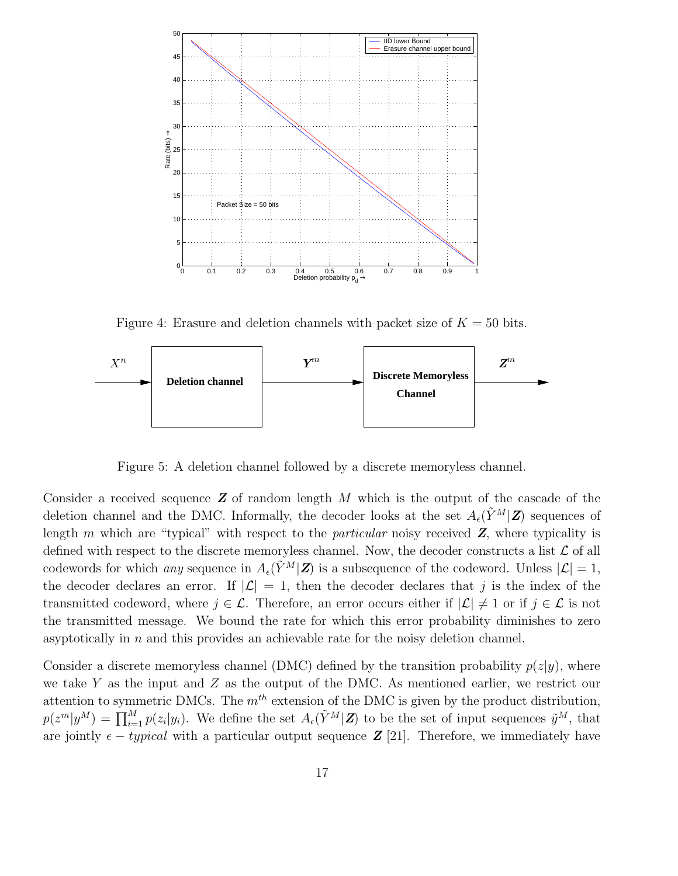

Figure 4: Erasure and deletion channels with packet size of  $K = 50$  bits.



Figure 5: A deletion channel followed by a discrete memoryless channel.

Consider a received sequence  $\boldsymbol{Z}$  of random length M which is the output of the cascade of the deletion channel and the DMC. Informally, the decoder looks at the set  $A_{\epsilon}(\tilde{Y}^M|\mathbf{Z})$  sequences of length m which are "typical" with respect to the *particular* noisy received  $Z$ , where typicality is defined with respect to the discrete memoryless channel. Now, the decoder constructs a list  $\mathcal L$  of all codewords for which any sequence in  $A_{\epsilon}(\tilde{Y}^M|\mathbf{Z})$  is a subsequence of the codeword. Unless  $|\mathcal{L}| = 1$ , the decoder declares an error. If  $|\mathcal{L}| = 1$ , then the decoder declares that j is the index of the transmitted codeword, where  $j \in \mathcal{L}$ . Therefore, an error occurs either if  $|\mathcal{L}| \neq 1$  or if  $j \in \mathcal{L}$  is not the transmitted message. We bound the rate for which this error probability diminishes to zero asyptotically in  $n$  and this provides an achievable rate for the noisy deletion channel.

Consider a discrete memoryless channel (DMC) defined by the transition probability  $p(z|y)$ , where we take  $Y$  as the input and  $Z$  as the output of the DMC. As mentioned earlier, we restrict our attention to symmetric DMCs. The  $m<sup>th</sup>$  extension of the DMC is given by the product distribution,  $p(z^m|y^M) = \prod_{i=1}^M p(z_i|y_i)$ . We define the set  $A_{\epsilon}(\tilde{Y}^M|\mathbf{Z})$  to be the set of input sequences  $\tilde{y}^M$ , that are jointly  $\epsilon - typical$  with a particular output sequence  $\mathbf{Z}$  [21]. Therefore, we immediately have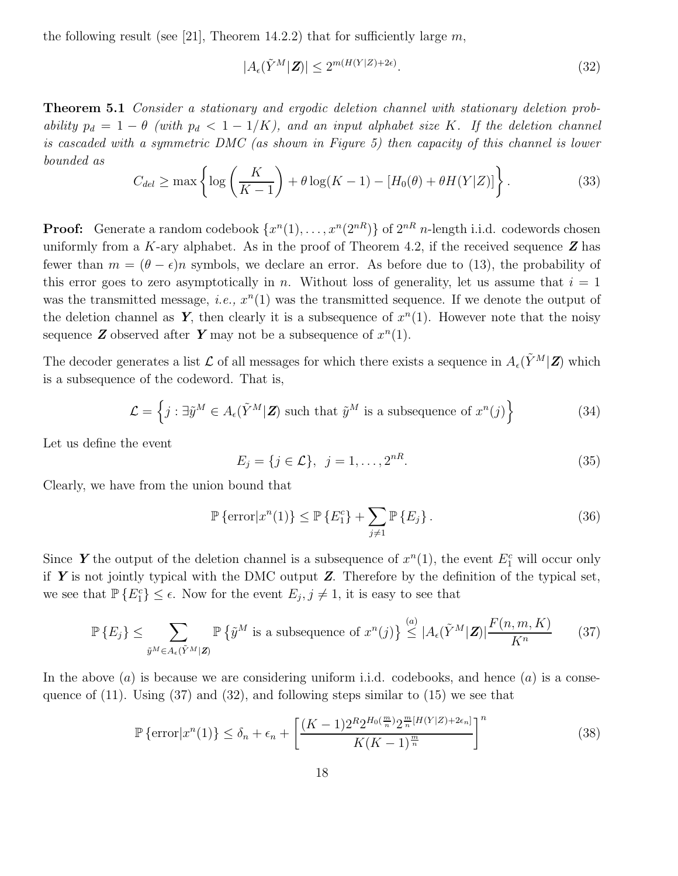the following result (see [21], Theorem 14.2.2) that for sufficiently large  $m$ ,

$$
|A_{\epsilon}(\tilde{Y}^M|\mathbf{Z})| \le 2^{m(H(Y|Z) + 2\epsilon)}.
$$
\n(32)

**Theorem 5.1** Consider a stationary and ergodic deletion channel with stationary deletion probability  $p_d = 1 - \theta$  (with  $p_d < 1 - 1/K$ ), and an input alphabet size K. If the deletion channel is cascaded with a symmetric DMC (as shown in Figure 5) then capacity of this channel is lower bounded as

$$
C_{del} \ge \max\left\{\log\left(\frac{K}{K-1}\right) + \theta\log(K-1) - [H_0(\theta) + \theta H(Y|Z)]\right\}.
$$
 (33)

**Proof:** Generate a random codebook  $\{x^n(1), \ldots, x^n(2^{nR})\}$  of  $2^{nR}$  *n*-length i.i.d. codewords chosen uniformly from a K-ary alphabet. As in the proof of Theorem 4.2, if the received sequence  $\boldsymbol{Z}$  has fewer than  $m = (\theta - \epsilon)n$  symbols, we declare an error. As before due to (13), the probability of this error goes to zero asymptotically in n. Without loss of generality, let us assume that  $i = 1$ was the transmitted message, *i.e.*,  $x^n(1)$  was the transmitted sequence. If we denote the output of the deletion channel as Y, then clearly it is a subsequence of  $x^n(1)$ . However note that the noisy sequence **Z** observed after **Y** may not be a subsequence of  $x^n(1)$ .

The decoder generates a list L of all messages for which there exists a sequence in  $A_{\epsilon}(\tilde{Y}^M|\mathbf{Z})$  which is a subsequence of the codeword. That is,

$$
\mathcal{L} = \left\{ j : \exists \tilde{y}^M \in A_{\epsilon}(\tilde{Y}^M | \mathbf{Z}) \text{ such that } \tilde{y}^M \text{ is a subsequence of } x^n(j) \right\}
$$
(34)

Let us define the event

$$
E_j = \{j \in \mathcal{L}\}, \ \ j = 1, \dots, 2^{nR}.\tag{35}
$$

Clearly, we have from the union bound that

$$
\mathbb{P}\left\{\text{error}|x^n(1)\right\} \le \mathbb{P}\left\{E_1^c\right\} + \sum_{j \ne 1} \mathbb{P}\left\{E_j\right\}.\tag{36}
$$

Since Y the output of the deletion channel is a subsequence of  $x^n(1)$ , the event  $E_1^c$  will occur only if  $Y$  is not jointly typical with the DMC output  $Z$ . Therefore by the definition of the typical set, we see that  $\mathbb{P}\{E_1^c\} \leq \epsilon$ . Now for the event  $E_j, j \neq 1$ , it is easy to see that

$$
\mathbb{P}\left\{E_j\right\} \le \sum_{\tilde{y}^M \in A_{\epsilon}(\tilde{Y}^M | \mathbf{Z})} \mathbb{P}\left\{\tilde{y}^M \text{ is a subsequence of } x^n(j)\right\} \stackrel{(a)}{\le} |A_{\epsilon}(\tilde{Y}^M | \mathbf{Z})| \frac{F(n, m, K)}{K^n} \tag{37}
$$

In the above  $(a)$  is because we are considering uniform i.i.d. codebooks, and hence  $(a)$  is a consequence of  $(11)$ . Using  $(37)$  and  $(32)$ , and following steps similar to  $(15)$  we see that

$$
\mathbb{P}\left\{\text{error}|x^n(1)\right\} \le \delta_n + \epsilon_n + \left[\frac{(K-1)2^R 2^{H_0(\frac{m}{n})} 2^{\frac{m}{n}[H(Y|Z)+2\epsilon_n]}}{K(K-1)^{\frac{m}{n}}}\right]^n\tag{38}
$$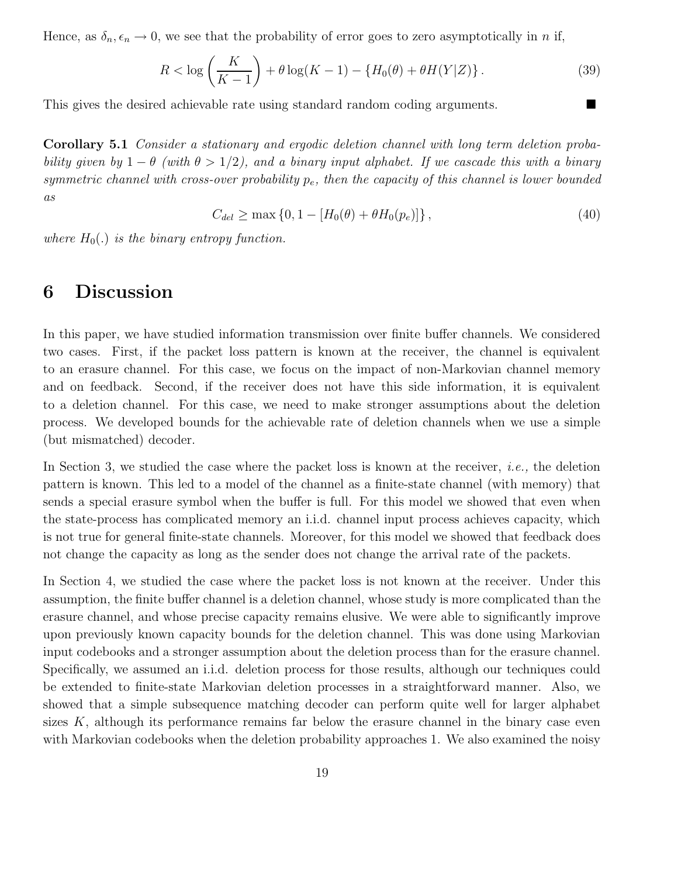Hence, as  $\delta_n$ ,  $\epsilon_n \to 0$ , we see that the probability of error goes to zero asymptotically in n if,

$$
R < \log\left(\frac{K}{K-1}\right) + \theta \log(K-1) - \{H_0(\theta) + \theta H(Y|Z)\}.\tag{39}
$$

This gives the desired achievable rate using standard random coding arguments.

Corollary 5.1 Consider a stationary and ergodic deletion channel with long term deletion probability given by  $1 - \theta$  (with  $\theta > 1/2$ ), and a binary input alphabet. If we cascade this with a binary symmetric channel with cross-over probability  $p_e$ , then the capacity of this channel is lower bounded as

$$
C_{del} \ge \max\{0, 1 - [H_0(\theta) + \theta H_0(p_e)]\},\tag{40}
$$

where  $H_0(.)$  is the binary entropy function.

## 6 Discussion

In this paper, we have studied information transmission over finite buffer channels. We considered two cases. First, if the packet loss pattern is known at the receiver, the channel is equivalent to an erasure channel. For this case, we focus on the impact of non-Markovian channel memory and on feedback. Second, if the receiver does not have this side information, it is equivalent to a deletion channel. For this case, we need to make stronger assumptions about the deletion process. We developed bounds for the achievable rate of deletion channels when we use a simple (but mismatched) decoder.

In Section 3, we studied the case where the packet loss is known at the receiver, *i.e.*, the deletion pattern is known. This led to a model of the channel as a finite-state channel (with memory) that sends a special erasure symbol when the buffer is full. For this model we showed that even when the state-process has complicated memory an i.i.d. channel input process achieves capacity, which is not true for general finite-state channels. Moreover, for this model we showed that feedback does not change the capacity as long as the sender does not change the arrival rate of the packets.

In Section 4, we studied the case where the packet loss is not known at the receiver. Under this assumption, the finite buffer channel is a deletion channel, whose study is more complicated than the erasure channel, and whose precise capacity remains elusive. We were able to significantly improve upon previously known capacity bounds for the deletion channel. This was done using Markovian input codebooks and a stronger assumption about the deletion process than for the erasure channel. Specifically, we assumed an i.i.d. deletion process for those results, although our techniques could be extended to finite-state Markovian deletion processes in a straightforward manner. Also, we showed that a simple subsequence matching decoder can perform quite well for larger alphabet sizes  $K$ , although its performance remains far below the erasure channel in the binary case even with Markovian codebooks when the deletion probability approaches 1. We also examined the noisy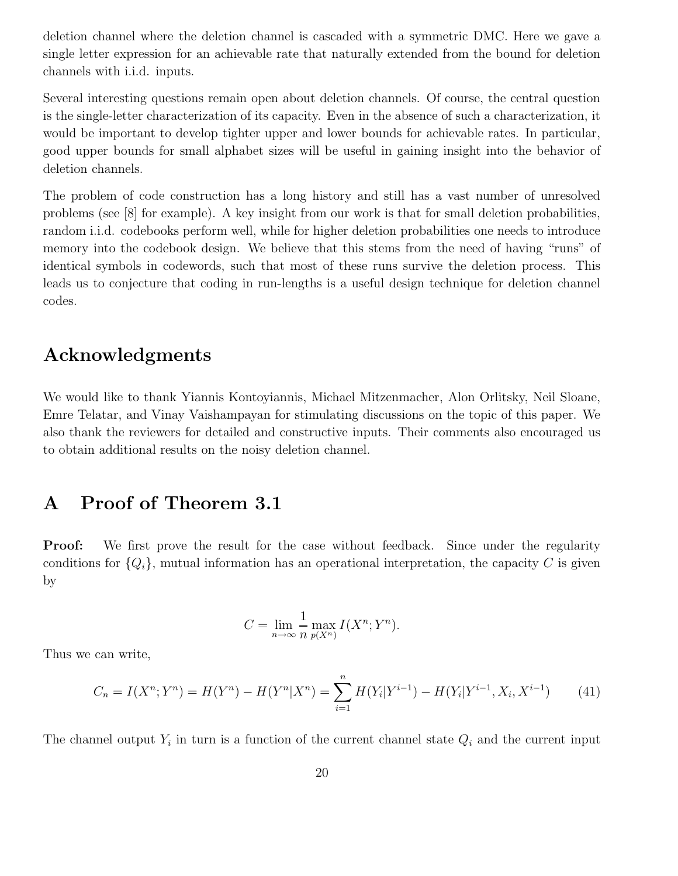deletion channel where the deletion channel is cascaded with a symmetric DMC. Here we gave a single letter expression for an achievable rate that naturally extended from the bound for deletion channels with i.i.d. inputs.

Several interesting questions remain open about deletion channels. Of course, the central question is the single-letter characterization of its capacity. Even in the absence of such a characterization, it would be important to develop tighter upper and lower bounds for achievable rates. In particular, good upper bounds for small alphabet sizes will be useful in gaining insight into the behavior of deletion channels.

The problem of code construction has a long history and still has a vast number of unresolved problems (see [8] for example). A key insight from our work is that for small deletion probabilities, random i.i.d. codebooks perform well, while for higher deletion probabilities one needs to introduce memory into the codebook design. We believe that this stems from the need of having "runs" of identical symbols in codewords, such that most of these runs survive the deletion process. This leads us to conjecture that coding in run-lengths is a useful design technique for deletion channel codes.

### Acknowledgments

We would like to thank Yiannis Kontoyiannis, Michael Mitzenmacher, Alon Orlitsky, Neil Sloane, Emre Telatar, and Vinay Vaishampayan for stimulating discussions on the topic of this paper. We also thank the reviewers for detailed and constructive inputs. Their comments also encouraged us to obtain additional results on the noisy deletion channel.

## A Proof of Theorem 3.1

**Proof:** We first prove the result for the case without feedback. Since under the regularity conditions for  $\{Q_i\}$ , mutual information has an operational interpretation, the capacity C is given by

$$
C = \lim_{n \to \infty} \frac{1}{n} \max_{p(X^n)} I(X^n; Y^n).
$$

Thus we can write,

$$
C_n = I(X^n; Y^n) = H(Y^n) - H(Y^n | X^n) = \sum_{i=1}^n H(Y_i | Y^{i-1}) - H(Y_i | Y^{i-1}, X_i, X^{i-1}) \tag{41}
$$

The channel output  $Y_i$  in turn is a function of the current channel state  $Q_i$  and the current input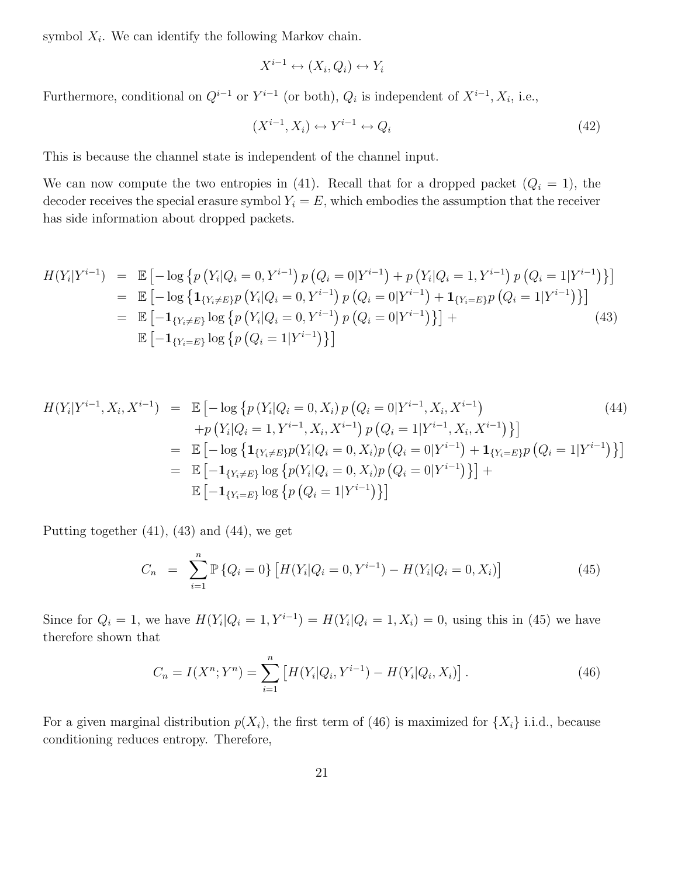symbol  $X_i$ . We can identify the following Markov chain.

$$
X^{i-1} \leftrightarrow (X_i, Q_i) \leftrightarrow Y_i
$$

Furthermore, conditional on  $Q^{i-1}$  or  $Y^{i-1}$  (or both),  $Q_i$  is independent of  $X^{i-1}, X_i$ , i.e.,

$$
(X^{i-1}, X_i) \leftrightarrow Y^{i-1} \leftrightarrow Q_i \tag{42}
$$

This is because the channel state is independent of the channel input.

We can now compute the two entropies in (41). Recall that for a dropped packet  $(Q<sub>i</sub> = 1)$ , the decoder receives the special erasure symbol  $Y_i = E$ , which embodies the assumption that the receiver has side information about dropped packets.

$$
H(Y_i|Y^{i-1}) = \mathbb{E} \left[ -\log \left\{ p \left( Y_i|Q_i = 0, Y^{i-1} \right) p \left( Q_i = 0 | Y^{i-1} \right) + p \left( Y_i|Q_i = 1, Y^{i-1} \right) p \left( Q_i = 1 | Y^{i-1} \right) \right\} \right]
$$
  
\n
$$
= \mathbb{E} \left[ -\log \left\{ \mathbf{1}_{\{ Y_i \neq E \}} p \left( Y_i|Q_i = 0, Y^{i-1} \right) p \left( Q_i = 0 | Y^{i-1} \right) + \mathbf{1}_{\{ Y_i = E \}} p \left( Q_i = 1 | Y^{i-1} \right) \right\} \right]
$$
  
\n
$$
= \mathbb{E} \left[ -\mathbf{1}_{\{ Y_i \neq E \}} \log \left\{ p \left( Y_i|Q_i = 0, Y^{i-1} \right) p \left( Q_i = 0 | Y^{i-1} \right) \right\} \right] +
$$
  
\n
$$
\mathbb{E} \left[ -\mathbf{1}_{\{ Y_i = E \}} \log \left\{ p \left( Q_i = 1 | Y^{i-1} \right) \right\} \right]
$$
  
\n(43)

$$
H(Y_i|Y^{i-1}, X_i, X^{i-1}) = \mathbb{E} \left[ -\log \left\{ p(Y_i|Q_i = 0, X_i) p(Q_i = 0|Y^{i-1}, X_i, X^{i-1}) + p(Y_i|Q_i = 1, Y^{i-1}, X_i, X^{i-1}) p(Q_i = 1|Y^{i-1}, X_i, X^{i-1}) \right\} \right]
$$
\n
$$
= \mathbb{E} \left[ -\log \left\{ \mathbf{1}_{\{Y_i \neq E\}} p(Y_i|Q_i = 0, X_i) p(Q_i = 0|Y^{i-1}) + \mathbf{1}_{\{Y_i = E\}} p(Q_i = 1|Y^{i-1}) \right\} \right]
$$
\n
$$
= \mathbb{E} \left[ -\mathbf{1}_{\{Y_i \neq E\}} \log \left\{ p(Y_i|Q_i = 0, X_i) p(Q_i = 0|Y^{i-1}) \right\} \right] + \mathbb{E} \left[ -\mathbf{1}_{\{Y_i = E\}} \log \left\{ p(Q_i = 1|Y^{i-1}) \right\} \right]
$$
\n(44)

Putting together (41), (43) and (44), we get

$$
C_n = \sum_{i=1}^n \mathbb{P} \{ Q_i = 0 \} \left[ H(Y_i | Q_i = 0, Y^{i-1}) - H(Y_i | Q_i = 0, X_i) \right]
$$
(45)

Since for  $Q_i = 1$ , we have  $H(Y_i|Q_i = 1, Y^{i-1}) = H(Y_i|Q_i = 1, X_i) = 0$ , using this in (45) we have therefore shown that

$$
C_n = I(X^n; Y^n) = \sum_{i=1}^n \left[ H(Y_i|Q_i, Y^{i-1}) - H(Y_i|Q_i, X_i) \right]. \tag{46}
$$

For a given marginal distribution  $p(X_i)$ , the first term of (46) is maximized for  $\{X_i\}$  i.i.d., because conditioning reduces entropy. Therefore,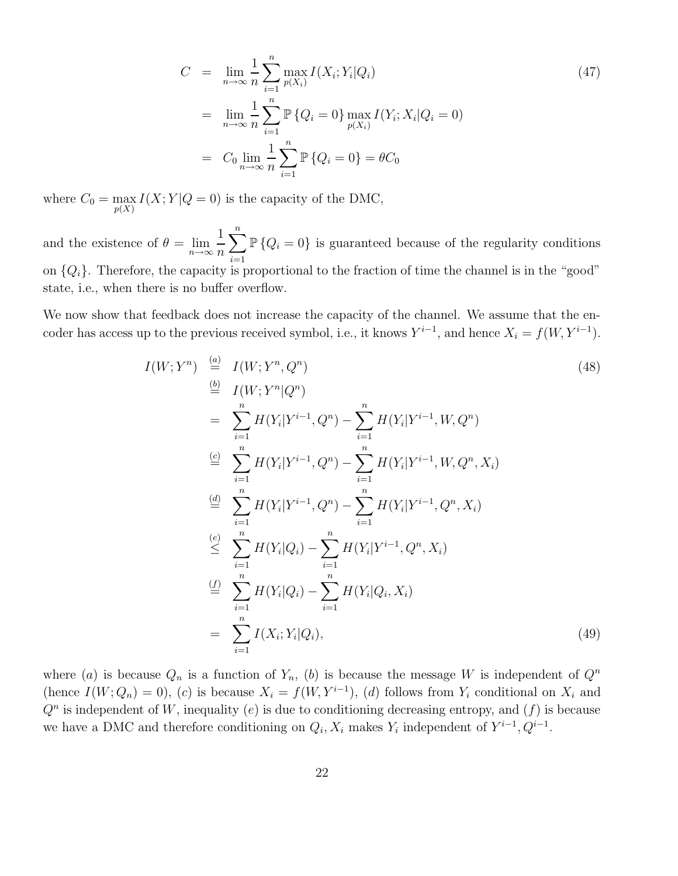$$
C = \lim_{n \to \infty} \frac{1}{n} \sum_{i=1}^{n} \max_{p(X_i)} I(X_i; Y_i | Q_i)
$$
  
= 
$$
\lim_{n \to \infty} \frac{1}{n} \sum_{i=1}^{n} \mathbb{P} \{Q_i = 0\} \max_{p(X_i)} I(Y_i; X_i | Q_i = 0)
$$
  
= 
$$
C_0 \lim_{n \to \infty} \frac{1}{n} \sum_{i=1}^{n} \mathbb{P} \{Q_i = 0\} = \theta C_0
$$
 (47)

where  $C_0 = \max_{p(X)} I(X; Y|Q = 0)$  is the capacity of the DMC,

and the existence of  $\theta = \lim_{n \to \infty}$ 1 n  $\sum_{n=1}^{\infty}$  $i=1$  $\mathbb{P}\left\{Q_i = 0\right\}$  is guaranteed because of the regularity conditions on  $\{Q_i\}$ . Therefore, the capacity is proportional to the fraction of time the channel is in the "good" state, i.e., when there is no buffer overflow.

We now show that feedback does not increase the capacity of the channel. We assume that the encoder has access up to the previous received symbol, i.e., it knows  $Y^{i-1}$ , and hence  $X_i = f(W, Y^{i-1})$ .

$$
I(W; Y^{n}) \stackrel{(a)}{=} I(W; Y^{n}, Q^{n})
$$
\n
$$
\stackrel{(b)}{=} I(W; Y^{n} | Q^{n})
$$
\n
$$
= \sum_{i=1}^{n} H(Y_{i} | Y^{i-1}, Q^{n}) - \sum_{i=1}^{n} H(Y_{i} | Y^{i-1}, W, Q^{n})
$$
\n
$$
\stackrel{(c)}{=} \sum_{i=1}^{n} H(Y_{i} | Y^{i-1}, Q^{n}) - \sum_{i=1}^{n} H(Y_{i} | Y^{i-1}, W, Q^{n}, X_{i})
$$
\n
$$
\stackrel{(d)}{=} \sum_{i=1}^{n} H(Y_{i} | Y^{i-1}, Q^{n}) - \sum_{i=1}^{n} H(Y_{i} | Y^{i-1}, Q^{n}, X_{i})
$$
\n
$$
\stackrel{(e)}{\leq} \sum_{i=1}^{n} H(Y_{i} | Q_{i}) - \sum_{i=1}^{n} H(Y_{i} | Y^{i-1}, Q^{n}, X_{i})
$$
\n
$$
\stackrel{(f)}{=} \sum_{i=1}^{n} H(Y_{i} | Q_{i}) - \sum_{i=1}^{n} H(Y_{i} | Q_{i}, X_{i})
$$
\n
$$
= \sum_{i=1}^{n} I(X_{i}; Y_{i} | Q_{i}), \qquad (49)
$$

where (a) is because  $Q_n$  is a function of  $Y_n$ , (b) is because the message W is independent of  $Q^n$ (hence  $I(W; Q_n) = 0$ ), (c) is because  $X_i = f(W, Y^{i-1})$ , (d) follows from  $Y_i$  conditional on  $X_i$  and  $Q<sup>n</sup>$  is independent of W, inequality (e) is due to conditioning decreasing entropy, and  $(f)$  is because we have a DMC and therefore conditioning on  $Q_i, X_i$  makes  $Y_i$  independent of  $Y^{i-1}, Q^{i-1}$ .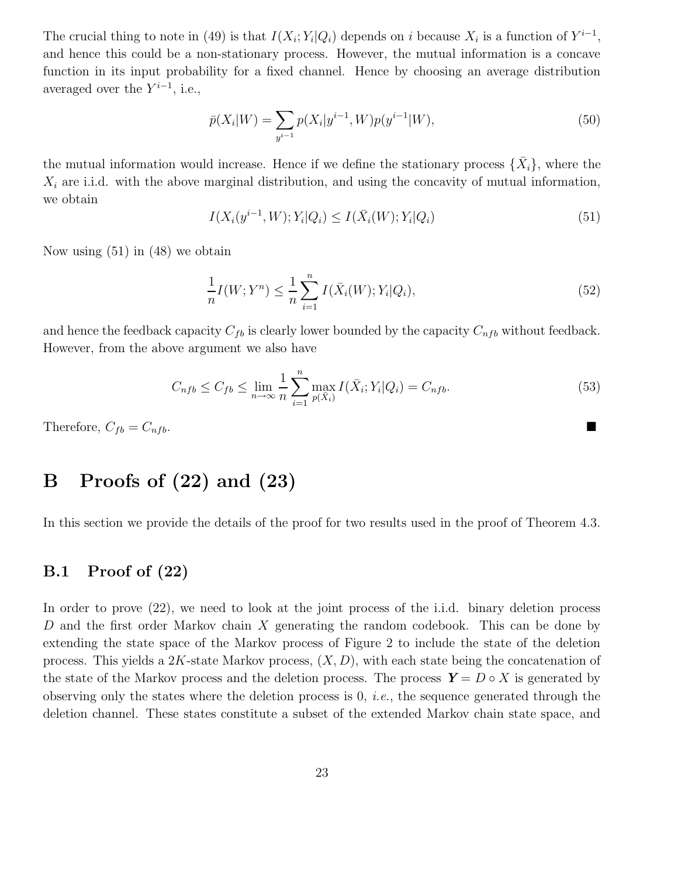The crucial thing to note in (49) is that  $I(X_i; Y_i|Q_i)$  depends on i because  $X_i$  is a function of  $Y^{i-1}$ , and hence this could be a non-stationary process. However, the mutual information is a concave function in its input probability for a fixed channel. Hence by choosing an average distribution averaged over the  $Y^{i-1}$ , i.e.,

$$
\bar{p}(X_i|W) = \sum_{y^{i-1}} p(X_i|y^{i-1}, W)p(y^{i-1}|W),\tag{50}
$$

the mutual information would increase. Hence if we define the stationary process  $\{\bar{X}_i\}$ , where the  $X_i$  are i.i.d. with the above marginal distribution, and using the concavity of mutual information, we obtain

$$
I(X_i(y^{i-1}, W); Y_i|Q_i) \le I(\bar{X}_i(W); Y_i|Q_i)
$$
\n(51)

Now using (51) in (48) we obtain

$$
\frac{1}{n}I(W;Y^n) \le \frac{1}{n}\sum_{i=1}^n I(\bar{X}_i(W);Y_i|Q_i),\tag{52}
$$

and hence the feedback capacity  $C_{fb}$  is clearly lower bounded by the capacity  $C_{nfb}$  without feedback. However, from the above argument we also have

$$
C_{nfb} \le C_{fb} \le \lim_{n \to \infty} \frac{1}{n} \sum_{i=1}^{n} \max_{p(\bar{X}_i)} I(\bar{X}_i; Y_i | Q_i) = C_{nfb}.
$$
\n(53)

Therefore,  $C_{fb} = C_{nfb}$ . . In the second control of the second control of the second control of the second control of the second control

# B Proofs of (22) and (23)

In this section we provide the details of the proof for two results used in the proof of Theorem 4.3.

### B.1 Proof of (22)

In order to prove (22), we need to look at the joint process of the i.i.d. binary deletion process D and the first order Markov chain X generating the random codebook. This can be done by extending the state space of the Markov process of Figure 2 to include the state of the deletion process. This yields a 2K-state Markov process,  $(X, D)$ , with each state being the concatenation of the state of the Markov process and the deletion process. The process  $Y = D \circ X$  is generated by observing only the states where the deletion process is  $0, i.e.,$  the sequence generated through the deletion channel. These states constitute a subset of the extended Markov chain state space, and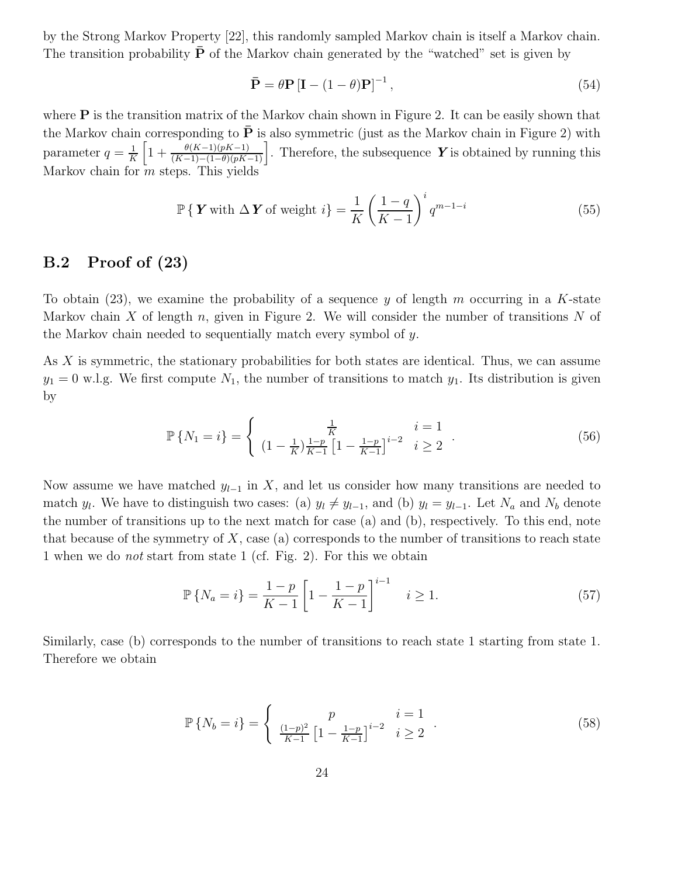by the Strong Markov Property [22], this randomly sampled Markov chain is itself a Markov chain. The transition probability  $\overline{P}$  of the Markov chain generated by the "watched" set is given by

$$
\bar{\mathbf{P}} = \theta \mathbf{P} \left[ \mathbf{I} - (1 - \theta) \mathbf{P} \right]^{-1},\tag{54}
$$

where  $P$  is the transition matrix of the Markov chain shown in Figure 2. It can be easily shown that the Markov chain corresponding to  $P$  is also symmetric (just as the Markov chain in Figure 2) with parameter  $q = \frac{1}{K}$  $\frac{1}{K}\left[1+\frac{\theta(K-1)(pK-1)}{(K-1)-(1-\theta)(pK-1)}\right]$ . Therefore, the subsequence **Y** is obtained by running this Markov chain for  $m$  steps. This yields

$$
\mathbb{P}\left\{\mathbf{Y} \text{ with } \Delta \mathbf{Y} \text{ of weight } i\right\} = \frac{1}{K} \left(\frac{1-q}{K-1}\right)^i q^{m-1-i} \tag{55}
$$

### B.2 Proof of (23)

To obtain (23), we examine the probability of a sequence y of length m occurring in a K-state Markov chain X of length n, given in Figure 2. We will consider the number of transitions N of the Markov chain needed to sequentially match every symbol of y.

As X is symmetric, the stationary probabilities for both states are identical. Thus, we can assume  $y_1 = 0$  w.l.g. We first compute  $N_1$ , the number of transitions to match  $y_1$ . Its distribution is given by

$$
\mathbb{P}\left\{N_1 = i\right\} = \begin{cases} \frac{1}{K} & i = 1\\ \left(1 - \frac{1}{K}\right) \frac{1-p}{K-1} \left[1 - \frac{1-p}{K-1}\right]^{i-2} & i \ge 2 \end{cases} . \tag{56}
$$

Now assume we have matched  $y_{l-1}$  in X, and let us consider how many transitions are needed to match y<sub>l</sub>. We have to distinguish two cases: (a)  $y_l \neq y_{l-1}$ , and (b)  $y_l = y_{l-1}$ . Let  $N_a$  and  $N_b$  denote the number of transitions up to the next match for case (a) and (b), respectively. To this end, note that because of the symmetry of  $X$ , case (a) corresponds to the number of transitions to reach state 1 when we do *not* start from state 1 (cf. Fig. 2). For this we obtain

$$
\mathbb{P}\left\{N_a = i\right\} = \frac{1-p}{K-1} \left[1 - \frac{1-p}{K-1}\right]^{i-1} \quad i \ge 1. \tag{57}
$$

Similarly, case (b) corresponds to the number of transitions to reach state 1 starting from state 1. Therefore we obtain

$$
\mathbb{P}\left\{N_b = i\right\} = \begin{cases} p & i = 1\\ \frac{(1-p)^2}{K-1} \left[1 - \frac{1-p}{K-1}\right]^{i-2} & i \ge 2 \end{cases} . \tag{58}
$$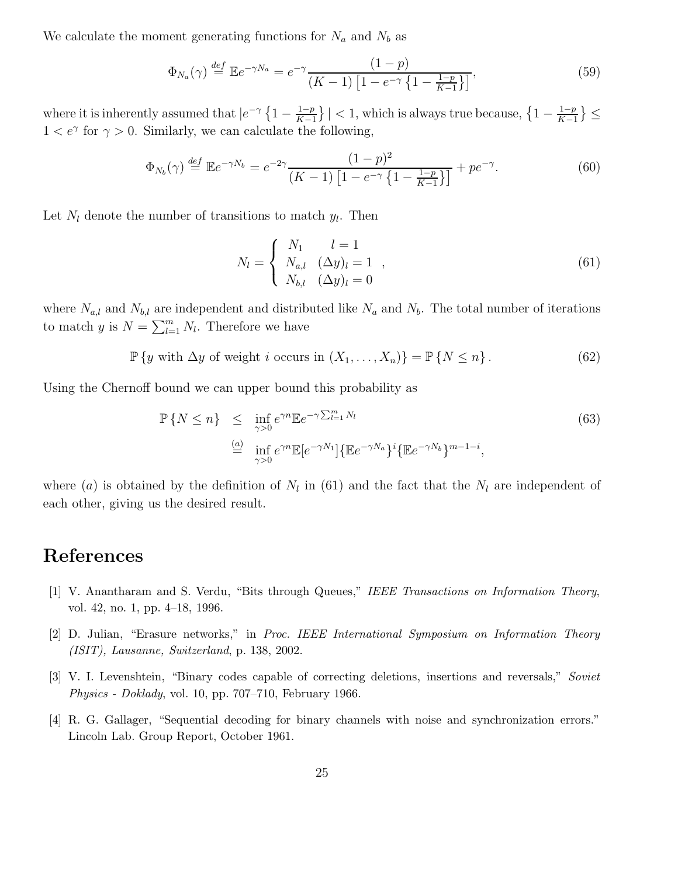We calculate the moment generating functions for  $N_a$  and  $N_b$  as

$$
\Phi_{N_a}(\gamma) \stackrel{def}{=} \mathbb{E} e^{-\gamma N_a} = e^{-\gamma} \frac{(1-p)}{(K-1) \left[1 - e^{-\gamma} \left\{1 - \frac{1-p}{K-1}\right\}\right]},
$$
\n(59)

where it is inherently assumed that  $|e^{-\gamma}\left\{1-\frac{1-p}{K-1}\right\}$  $\left\lfloor \frac{1-p}{K-1} \right\rfloor$  | < 1, which is always true because,  $\left\{ 1 - \frac{1-p}{K-1} \right\}$  $\frac{1-p}{K-1}\}$   $\leq$  $1 < e^{\gamma}$  for  $\gamma > 0$ . Similarly, we can calculate the following,

$$
\Phi_{N_b}(\gamma) \stackrel{def}{=} \mathbb{E}e^{-\gamma N_b} = e^{-2\gamma} \frac{(1-p)^2}{(K-1)\left[1 - e^{-\gamma}\left\{1 - \frac{1-p}{K-1}\right\}\right]} + pe^{-\gamma}.
$$
\n(60)

Let  $N_l$  denote the number of transitions to match  $y_l$ . Then

$$
N_l = \begin{cases} N_1 & l = 1 \\ N_{a,l} & (\Delta y)_l = 1 \\ N_{b,l} & (\Delta y)_l = 0 \end{cases}
$$
 (61)

where  $N_{a,l}$  and  $N_{b,l}$  are independent and distributed like  $N_a$  and  $N_b$ . The total number of iterations to match y is  $N = \sum_{l=1}^{m} N_l$ . Therefore we have

 $\mathbb{P}\left\{y \text{ with } \Delta y \text{ of weight } i \text{ occurs in } (X_1, \ldots, X_n)\right\} = \mathbb{P}\left\{N \leq n\right\}.$  (62)

Using the Chernoff bound we can upper bound this probability as

$$
\mathbb{P}\left\{N \leq n\right\} \leq \inf_{\gamma > 0} e^{\gamma n} \mathbb{E} e^{-\gamma \sum_{l=1}^{m} N_l} \tag{63}
$$
\n
$$
\stackrel{\text{(a)}}{=} \inf_{\gamma > 0} e^{\gamma n} \mathbb{E} \left[e^{-\gamma N_1}\right] \left\{\mathbb{E} e^{-\gamma N_a}\right\}^i \left\{\mathbb{E} e^{-\gamma N_b}\right\}^{m-1-i},
$$

where (a) is obtained by the definition of  $N_l$  in (61) and the fact that the  $N_l$  are independent of each other, giving us the desired result.

# References

- [1] V. Anantharam and S. Verdu, "Bits through Queues," IEEE Transactions on Information Theory, vol. 42, no. 1, pp. 4–18, 1996.
- [2] D. Julian, "Erasure networks," in Proc. IEEE International Symposium on Information Theory (ISIT), Lausanne, Switzerland, p. 138, 2002.
- [3] V. I. Levenshtein, "Binary codes capable of correcting deletions, insertions and reversals," Soviet Physics - Doklady, vol. 10, pp. 707–710, February 1966.
- [4] R. G. Gallager, "Sequential decoding for binary channels with noise and synchronization errors." Lincoln Lab. Group Report, October 1961.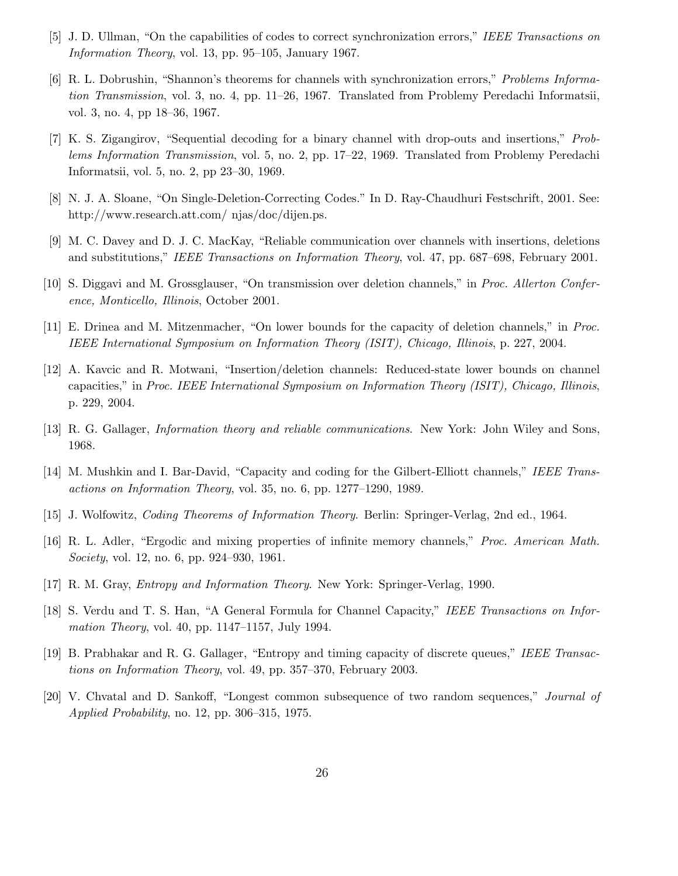- [5] J. D. Ullman, "On the capabilities of codes to correct synchronization errors," IEEE Transactions on Information Theory, vol. 13, pp. 95–105, January 1967.
- [6] R. L. Dobrushin, "Shannon's theorems for channels with synchronization errors," Problems Information Transmission, vol. 3, no. 4, pp. 11–26, 1967. Translated from Problemy Peredachi Informatsii, vol. 3, no. 4, pp 18–36, 1967.
- [7] K. S. Zigangirov, "Sequential decoding for a binary channel with drop-outs and insertions," Problems Information Transmission, vol. 5, no. 2, pp. 17–22, 1969. Translated from Problemy Peredachi Informatsii, vol. 5, no. 2, pp 23–30, 1969.
- [8] N. J. A. Sloane, "On Single-Deletion-Correcting Codes." In D. Ray-Chaudhuri Festschrift, 2001. See: http://www.research.att.com/ njas/doc/dijen.ps.
- [9] M. C. Davey and D. J. C. MacKay, "Reliable communication over channels with insertions, deletions and substitutions," IEEE Transactions on Information Theory, vol. 47, pp. 687–698, February 2001.
- [10] S. Diggavi and M. Grossglauser, "On transmission over deletion channels," in Proc. Allerton Conference, Monticello, Illinois, October 2001.
- [11] E. Drinea and M. Mitzenmacher, "On lower bounds for the capacity of deletion channels," in Proc. IEEE International Symposium on Information Theory (ISIT), Chicago, Illinois, p. 227, 2004.
- [12] A. Kavcic and R. Motwani, "Insertion/deletion channels: Reduced-state lower bounds on channel capacities," in Proc. IEEE International Symposium on Information Theory (ISIT), Chicago, Illinois, p. 229, 2004.
- [13] R. G. Gallager, Information theory and reliable communications. New York: John Wiley and Sons, 1968.
- [14] M. Mushkin and I. Bar-David, "Capacity and coding for the Gilbert-Elliott channels," IEEE Transactions on Information Theory, vol. 35, no. 6, pp. 1277–1290, 1989.
- [15] J. Wolfowitz, Coding Theorems of Information Theory. Berlin: Springer-Verlag, 2nd ed., 1964.
- [16] R. L. Adler, "Ergodic and mixing properties of infinite memory channels," Proc. American Math. Society, vol. 12, no. 6, pp. 924–930, 1961.
- [17] R. M. Gray, Entropy and Information Theory. New York: Springer-Verlag, 1990.
- [18] S. Verdu and T. S. Han, "A General Formula for Channel Capacity," IEEE Transactions on Information Theory, vol. 40, pp. 1147–1157, July 1994.
- [19] B. Prabhakar and R. G. Gallager, "Entropy and timing capacity of discrete queues," IEEE Transactions on Information Theory, vol. 49, pp. 357–370, February 2003.
- [20] V. Chvatal and D. Sankoff, "Longest common subsequence of two random sequences," Journal of Applied Probability, no. 12, pp. 306–315, 1975.